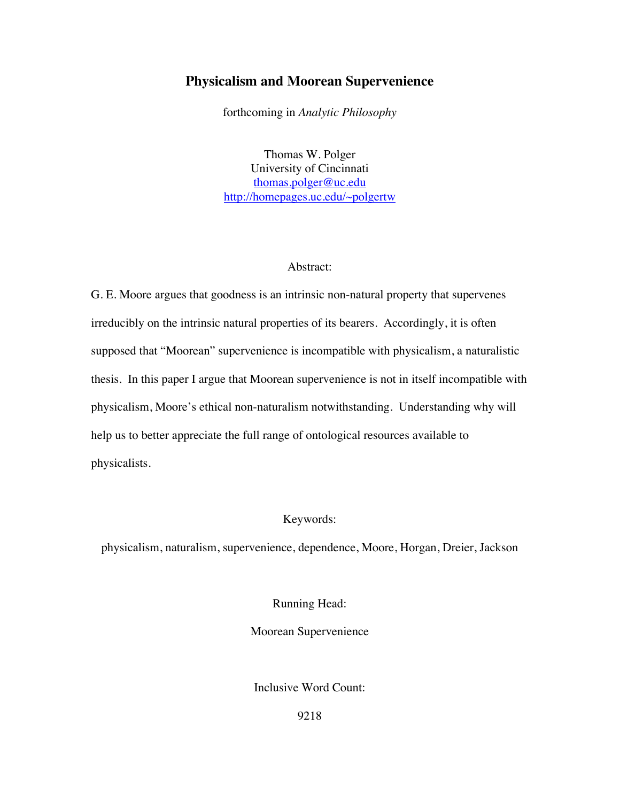# **Physicalism and Moorean Supervenience**

forthcoming in *Analytic Philosophy*

Thomas W. Polger University of Cincinnati thomas.polger@uc.edu http://homepages.uc.edu/~polgertw

# Abstract:

G. E. Moore argues that goodness is an intrinsic non-natural property that supervenes irreducibly on the intrinsic natural properties of its bearers. Accordingly, it is often supposed that "Moorean" supervenience is incompatible with physicalism, a naturalistic thesis. In this paper I argue that Moorean supervenience is not in itself incompatible with physicalism, Moore's ethical non-naturalism notwithstanding. Understanding why will help us to better appreciate the full range of ontological resources available to physicalists.

## Keywords:

physicalism, naturalism, supervenience, dependence, Moore, Horgan, Dreier, Jackson

Running Head:

Moorean Supervenience

Inclusive Word Count: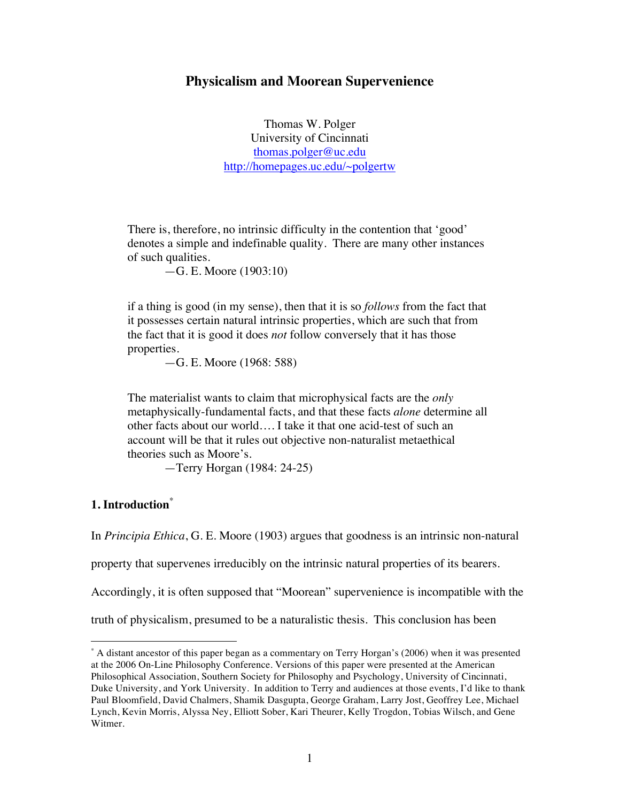# **Physicalism and Moorean Supervenience**

Thomas W. Polger University of Cincinnati thomas.polger@uc.edu http://homepages.uc.edu/~polgertw

There is, therefore, no intrinsic difficulty in the contention that 'good' denotes a simple and indefinable quality. There are many other instances of such qualities.

—G. E. Moore (1903:10)

if a thing is good (in my sense), then that it is so *follows* from the fact that it possesses certain natural intrinsic properties, which are such that from the fact that it is good it does *not* follow conversely that it has those properties.

—G. E. Moore (1968: 588)

The materialist wants to claim that microphysical facts are the *only* metaphysically-fundamental facts, and that these facts *alone* determine all other facts about our world…. I take it that one acid-test of such an account will be that it rules out objective non-naturalist metaethical theories such as Moore's.

—Terry Horgan (1984: 24-25)

# **1. Introduction**\*

In *Principia Ethica*, G. E. Moore (1903) argues that goodness is an intrinsic non-natural

property that supervenes irreducibly on the intrinsic natural properties of its bearers.

Accordingly, it is often supposed that "Moorean" supervenience is incompatible with the

truth of physicalism, presumed to be a naturalistic thesis. This conclusion has been

 <sup>\*</sup> A distant ancestor of this paper began as a commentary on Terry Horgan's (2006) when it was presented at the 2006 On-Line Philosophy Conference. Versions of this paper were presented at the American Philosophical Association, Southern Society for Philosophy and Psychology, University of Cincinnati, Duke University, and York University. In addition to Terry and audiences at those events, I'd like to thank Paul Bloomfield, David Chalmers, Shamik Dasgupta, George Graham, Larry Jost, Geoffrey Lee, Michael Lynch, Kevin Morris, Alyssa Ney, Elliott Sober, Kari Theurer, Kelly Trogdon, Tobias Wilsch, and Gene Witmer.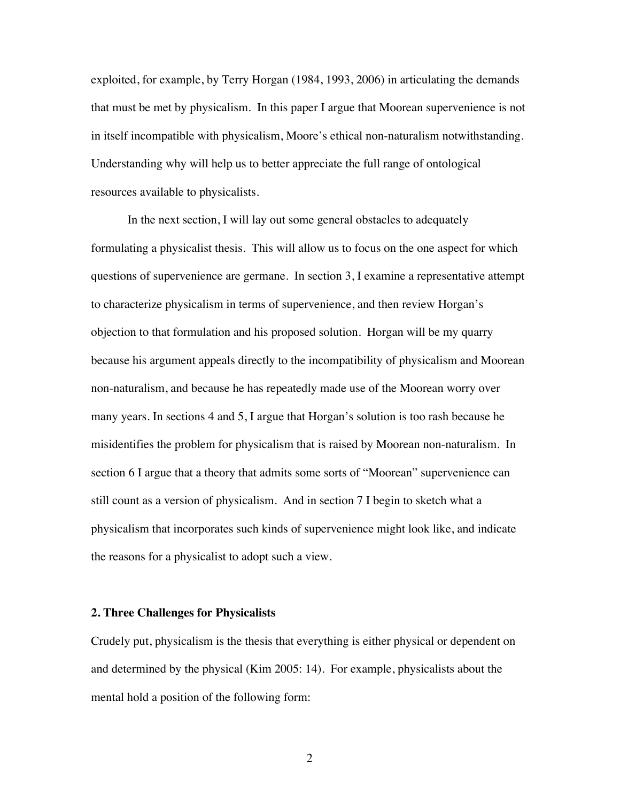exploited, for example, by Terry Horgan (1984, 1993, 2006) in articulating the demands that must be met by physicalism. In this paper I argue that Moorean supervenience is not in itself incompatible with physicalism, Moore's ethical non-naturalism notwithstanding. Understanding why will help us to better appreciate the full range of ontological resources available to physicalists.

In the next section, I will lay out some general obstacles to adequately formulating a physicalist thesis. This will allow us to focus on the one aspect for which questions of supervenience are germane. In section 3, I examine a representative attempt to characterize physicalism in terms of supervenience, and then review Horgan's objection to that formulation and his proposed solution. Horgan will be my quarry because his argument appeals directly to the incompatibility of physicalism and Moorean non-naturalism, and because he has repeatedly made use of the Moorean worry over many years. In sections 4 and 5, I argue that Horgan's solution is too rash because he misidentifies the problem for physicalism that is raised by Moorean non-naturalism. In section 6 I argue that a theory that admits some sorts of "Moorean" supervenience can still count as a version of physicalism. And in section 7 I begin to sketch what a physicalism that incorporates such kinds of supervenience might look like, and indicate the reasons for a physicalist to adopt such a view.

## **2. Three Challenges for Physicalists**

Crudely put, physicalism is the thesis that everything is either physical or dependent on and determined by the physical (Kim 2005: 14). For example, physicalists about the mental hold a position of the following form: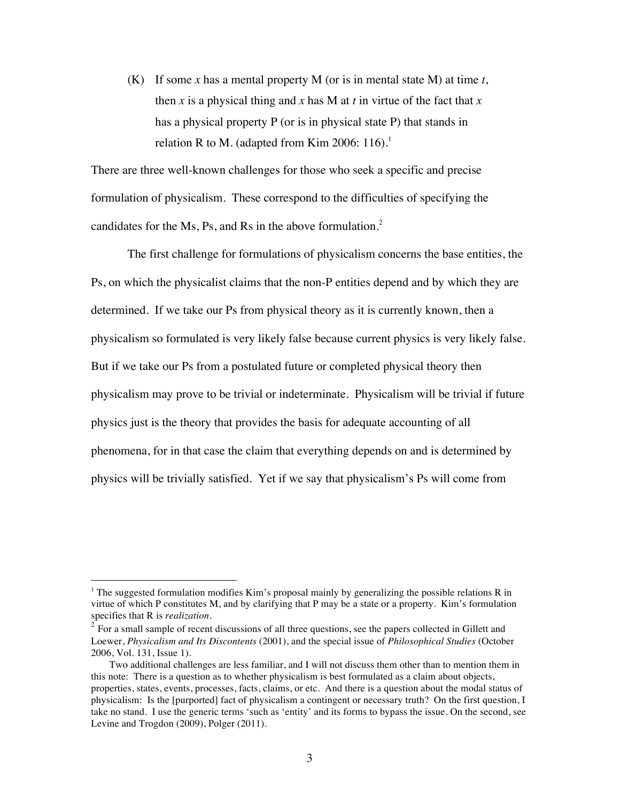(K) If some *x* has a mental property M (or is in mental state M) at time *t*, then *x* is a physical thing and *x* has M at *t* in virtue of the fact that *x* has a physical property P (or is in physical state P) that stands in relation R to M. (adapted from Kim 2006: 116).<sup>1</sup>

There are three well-known challenges for those who seek a specific and precise formulation of physicalism. These correspond to the difficulties of specifying the candidates for the Ms, Ps, and Rs in the above formulation. $<sup>2</sup>$ </sup>

The first challenge for formulations of physicalism concerns the base entities, the Ps, on which the physicalist claims that the non-P entities depend and by which they are determined. If we take our Ps from physical theory as it is currently known, then a physicalism so formulated is very likely false because current physics is very likely false. But if we take our Ps from a postulated future or completed physical theory then physicalism may prove to be trivial or indeterminate. Physicalism will be trivial if future physics just is the theory that provides the basis for adequate accounting of all phenomena, for in that case the claim that everything depends on and is determined by physics will be trivially satisfied. Yet if we say that physicalism's Ps will come from

<sup>&</sup>lt;sup>1</sup> The suggested formulation modifies Kim's proposal mainly by generalizing the possible relations R in virtue of which P constitutes M, and by clarifying that P may be a state or a property. Kim's formulation specifies that R is *realization*.

 $2$  For a small sample of recent discussions of all three questions, see the papers collected in Gillett and Loewer, *Physicalism and Its Discontents* (2001), and the special issue of *Philosophical Studies* (October 2006, Vol. 131, Issue 1).

Two additional challenges are less familiar, and I will not discuss them other than to mention them in this note: There is a question as to whether physicalism is best formulated as a claim about objects, properties, states, events, processes, facts, claims, or etc. And there is a question about the modal status of physicalism: Is the [purported] fact of physicalism a contingent or necessary truth? On the first question, I take no stand. I use the generic terms 'such as 'entity' and its forms to bypass the issue. On the second, see Levine and Trogdon (2009), Polger (2011).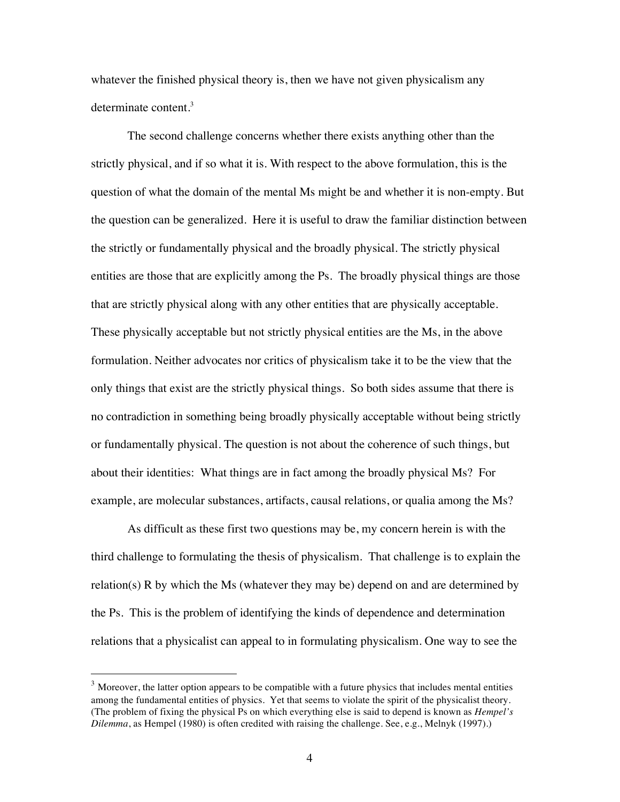whatever the finished physical theory is, then we have not given physicalism any determinate content.<sup>3</sup>

The second challenge concerns whether there exists anything other than the strictly physical, and if so what it is. With respect to the above formulation, this is the question of what the domain of the mental Ms might be and whether it is non-empty. But the question can be generalized. Here it is useful to draw the familiar distinction between the strictly or fundamentally physical and the broadly physical. The strictly physical entities are those that are explicitly among the Ps. The broadly physical things are those that are strictly physical along with any other entities that are physically acceptable. These physically acceptable but not strictly physical entities are the Ms, in the above formulation. Neither advocates nor critics of physicalism take it to be the view that the only things that exist are the strictly physical things. So both sides assume that there is no contradiction in something being broadly physically acceptable without being strictly or fundamentally physical. The question is not about the coherence of such things, but about their identities: What things are in fact among the broadly physical Ms? For example, are molecular substances, artifacts, causal relations, or qualia among the Ms?

As difficult as these first two questions may be, my concern herein is with the third challenge to formulating the thesis of physicalism. That challenge is to explain the relation(s) R by which the Ms (whatever they may be) depend on and are determined by the Ps. This is the problem of identifying the kinds of dependence and determination relations that a physicalist can appeal to in formulating physicalism. One way to see the

 $3$  Moreover, the latter option appears to be compatible with a future physics that includes mental entities among the fundamental entities of physics. Yet that seems to violate the spirit of the physicalist theory. (The problem of fixing the physical Ps on which everything else is said to depend is known as *Hempel's Dilemma*, as Hempel (1980) is often credited with raising the challenge. See, e.g., Melnyk (1997).)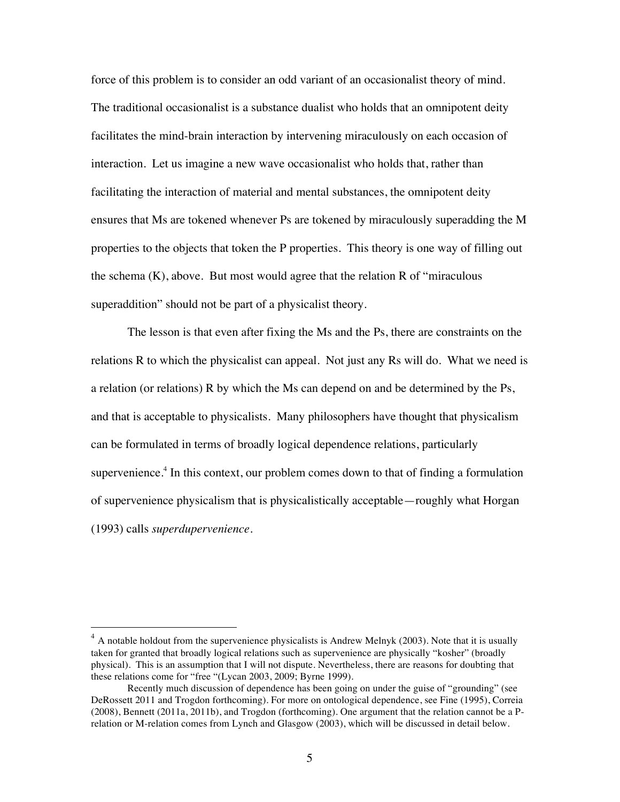force of this problem is to consider an odd variant of an occasionalist theory of mind. The traditional occasionalist is a substance dualist who holds that an omnipotent deity facilitates the mind-brain interaction by intervening miraculously on each occasion of interaction. Let us imagine a new wave occasionalist who holds that, rather than facilitating the interaction of material and mental substances, the omnipotent deity ensures that Ms are tokened whenever Ps are tokened by miraculously superadding the M properties to the objects that token the P properties. This theory is one way of filling out the schema  $(K)$ , above. But most would agree that the relation  $R$  of "miraculous" superaddition" should not be part of a physicalist theory.

The lesson is that even after fixing the Ms and the Ps, there are constraints on the relations R to which the physicalist can appeal. Not just any Rs will do. What we need is a relation (or relations) R by which the Ms can depend on and be determined by the Ps, and that is acceptable to physicalists. Many philosophers have thought that physicalism can be formulated in terms of broadly logical dependence relations, particularly supervenience.<sup>4</sup> In this context, our problem comes down to that of finding a formulation of supervenience physicalism that is physicalistically acceptable—roughly what Horgan (1993) calls *superdupervenience*.

 $4$  A notable holdout from the supervenience physicalists is Andrew Melnyk (2003). Note that it is usually taken for granted that broadly logical relations such as supervenience are physically "kosher" (broadly physical). This is an assumption that I will not dispute. Nevertheless, there are reasons for doubting that these relations come for "free "(Lycan 2003, 2009; Byrne 1999).

Recently much discussion of dependence has been going on under the guise of "grounding" (see DeRossett 2011 and Trogdon forthcoming). For more on ontological dependence, see Fine (1995), Correia (2008), Bennett (2011a, 2011b), and Trogdon (forthcoming). One argument that the relation cannot be a Prelation or M-relation comes from Lynch and Glasgow (2003), which will be discussed in detail below.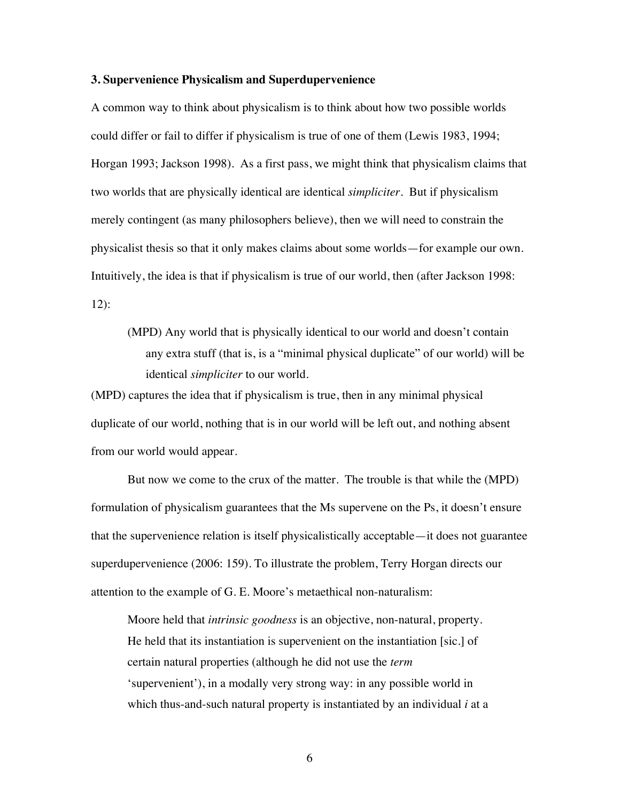#### **3. Supervenience Physicalism and Superdupervenience**

A common way to think about physicalism is to think about how two possible worlds could differ or fail to differ if physicalism is true of one of them (Lewis 1983, 1994; Horgan 1993; Jackson 1998). As a first pass, we might think that physicalism claims that two worlds that are physically identical are identical *simpliciter*. But if physicalism merely contingent (as many philosophers believe), then we will need to constrain the physicalist thesis so that it only makes claims about some worlds—for example our own. Intuitively, the idea is that if physicalism is true of our world, then (after Jackson 1998: 12):

(MPD) Any world that is physically identical to our world and doesn't contain any extra stuff (that is, is a "minimal physical duplicate" of our world) will be identical *simpliciter* to our world.

(MPD) captures the idea that if physicalism is true, then in any minimal physical duplicate of our world, nothing that is in our world will be left out, and nothing absent from our world would appear.

But now we come to the crux of the matter. The trouble is that while the (MPD) formulation of physicalism guarantees that the Ms supervene on the Ps, it doesn't ensure that the supervenience relation is itself physicalistically acceptable—it does not guarantee superdupervenience (2006: 159). To illustrate the problem, Terry Horgan directs our attention to the example of G. E. Moore's metaethical non-naturalism:

Moore held that *intrinsic goodness* is an objective, non-natural, property. He held that its instantiation is supervenient on the instantiation [sic.] of certain natural properties (although he did not use the *term* 'supervenient'), in a modally very strong way: in any possible world in which thus-and-such natural property is instantiated by an individual *i* at a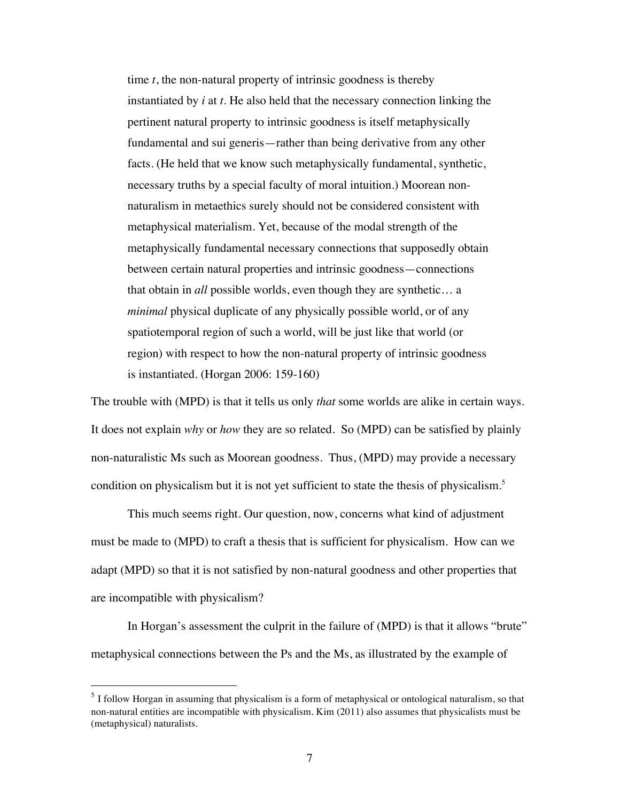time *t*, the non-natural property of intrinsic goodness is thereby instantiated by *i* at *t*. He also held that the necessary connection linking the pertinent natural property to intrinsic goodness is itself metaphysically fundamental and sui generis—rather than being derivative from any other facts. (He held that we know such metaphysically fundamental, synthetic, necessary truths by a special faculty of moral intuition.) Moorean nonnaturalism in metaethics surely should not be considered consistent with metaphysical materialism. Yet, because of the modal strength of the metaphysically fundamental necessary connections that supposedly obtain between certain natural properties and intrinsic goodness—connections that obtain in *all* possible worlds, even though they are synthetic… a *minimal* physical duplicate of any physically possible world, or of any spatiotemporal region of such a world, will be just like that world (or region) with respect to how the non-natural property of intrinsic goodness is instantiated. (Horgan 2006: 159-160)

The trouble with (MPD) is that it tells us only *that* some worlds are alike in certain ways. It does not explain *why* or *how* they are so related. So (MPD) can be satisfied by plainly non-naturalistic Ms such as Moorean goodness. Thus, (MPD) may provide a necessary condition on physicalism but it is not yet sufficient to state the thesis of physicalism.<sup>5</sup>

This much seems right. Our question, now, concerns what kind of adjustment must be made to (MPD) to craft a thesis that is sufficient for physicalism. How can we adapt (MPD) so that it is not satisfied by non-natural goodness and other properties that are incompatible with physicalism?

In Horgan's assessment the culprit in the failure of (MPD) is that it allows "brute" metaphysical connections between the Ps and the Ms, as illustrated by the example of

 <sup>5</sup> I follow Horgan in assuming that physicalism is a form of metaphysical or ontological naturalism, so that non-natural entities are incompatible with physicalism. Kim (2011) also assumes that physicalists must be (metaphysical) naturalists.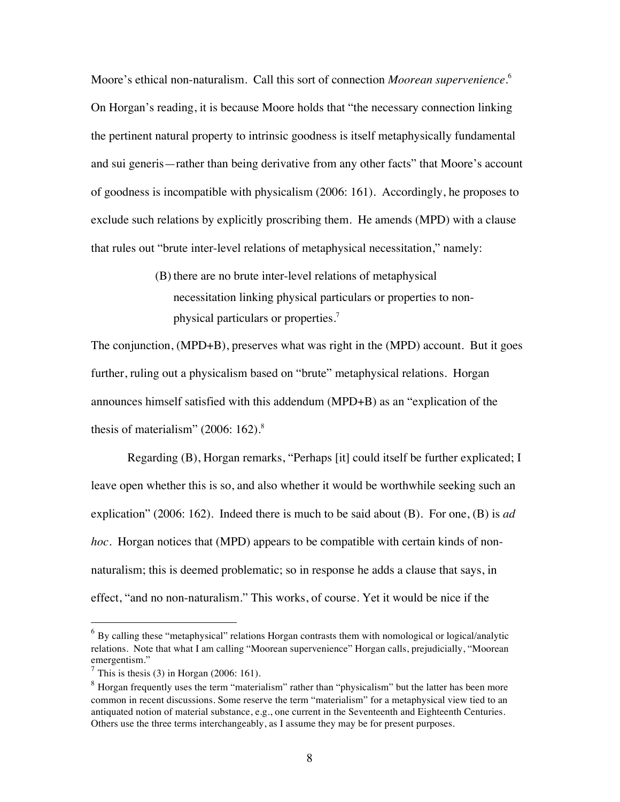Moore's ethical non-naturalism. Call this sort of connection *Moorean supervenience*. 6 On Horgan's reading, it is because Moore holds that "the necessary connection linking the pertinent natural property to intrinsic goodness is itself metaphysically fundamental and sui generis—rather than being derivative from any other facts" that Moore's account of goodness is incompatible with physicalism (2006: 161). Accordingly, he proposes to exclude such relations by explicitly proscribing them. He amends (MPD) with a clause that rules out "brute inter-level relations of metaphysical necessitation," namely:

> (B) there are no brute inter-level relations of metaphysical necessitation linking physical particulars or properties to nonphysical particulars or properties.<sup>7</sup>

The conjunction, (MPD+B), preserves what was right in the (MPD) account. But it goes further, ruling out a physicalism based on "brute" metaphysical relations. Horgan announces himself satisfied with this addendum (MPD+B) as an "explication of the thesis of materialism" (2006: 162).<sup>8</sup>

Regarding (B), Horgan remarks, "Perhaps [it] could itself be further explicated; I leave open whether this is so, and also whether it would be worthwhile seeking such an explication" (2006: 162). Indeed there is much to be said about (B). For one, (B) is *ad hoc*. Horgan notices that (MPD) appears to be compatible with certain kinds of nonnaturalism; this is deemed problematic; so in response he adds a clause that says, in effect, "and no non-naturalism." This works, of course. Yet it would be nice if the

 <sup>6</sup> By calling these "metaphysical" relations Horgan contrasts them with nomological or logical/analytic relations. Note that what I am calling "Moorean supervenience" Horgan calls, prejudicially, "Moorean emergentism."

<sup>&</sup>lt;sup>7</sup> This is thesis (3) in Horgan (2006: 161).

 $8$  Horgan frequently uses the term "materialism" rather than "physicalism" but the latter has been more common in recent discussions. Some reserve the term "materialism" for a metaphysical view tied to an antiquated notion of material substance, e.g., one current in the Seventeenth and Eighteenth Centuries. Others use the three terms interchangeably, as I assume they may be for present purposes.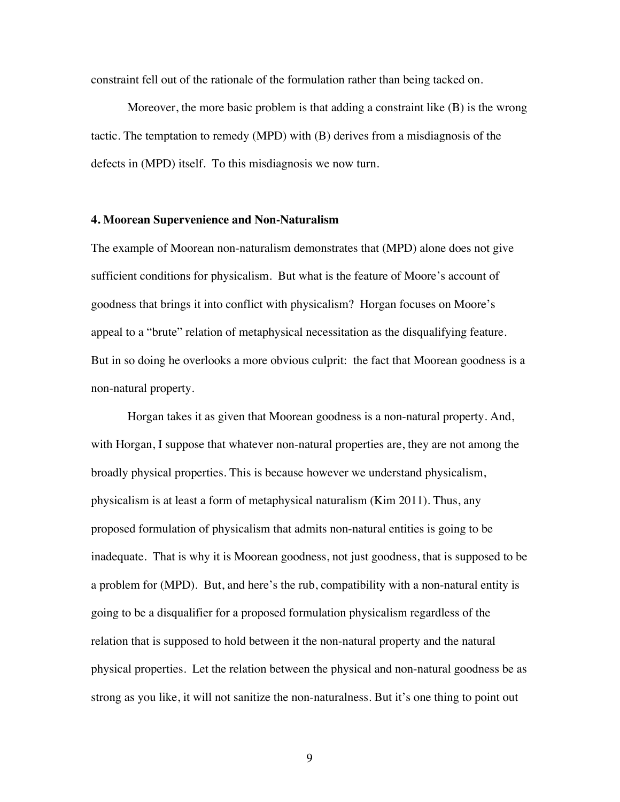constraint fell out of the rationale of the formulation rather than being tacked on.

Moreover, the more basic problem is that adding a constraint like (B) is the wrong tactic. The temptation to remedy (MPD) with (B) derives from a misdiagnosis of the defects in (MPD) itself. To this misdiagnosis we now turn.

#### **4. Moorean Supervenience and Non-Naturalism**

The example of Moorean non-naturalism demonstrates that (MPD) alone does not give sufficient conditions for physicalism. But what is the feature of Moore's account of goodness that brings it into conflict with physicalism? Horgan focuses on Moore's appeal to a "brute" relation of metaphysical necessitation as the disqualifying feature. But in so doing he overlooks a more obvious culprit: the fact that Moorean goodness is a non-natural property.

Horgan takes it as given that Moorean goodness is a non-natural property. And, with Horgan, I suppose that whatever non-natural properties are, they are not among the broadly physical properties. This is because however we understand physicalism, physicalism is at least a form of metaphysical naturalism (Kim 2011). Thus, any proposed formulation of physicalism that admits non-natural entities is going to be inadequate. That is why it is Moorean goodness, not just goodness, that is supposed to be a problem for (MPD). But, and here's the rub, compatibility with a non-natural entity is going to be a disqualifier for a proposed formulation physicalism regardless of the relation that is supposed to hold between it the non-natural property and the natural physical properties. Let the relation between the physical and non-natural goodness be as strong as you like, it will not sanitize the non-naturalness. But it's one thing to point out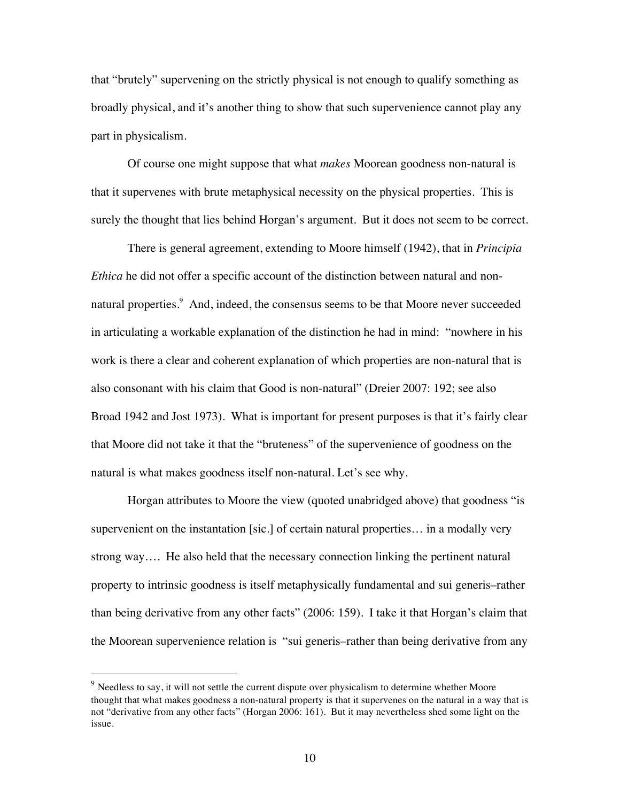that "brutely" supervening on the strictly physical is not enough to qualify something as broadly physical, and it's another thing to show that such supervenience cannot play any part in physicalism.

Of course one might suppose that what *makes* Moorean goodness non-natural is that it supervenes with brute metaphysical necessity on the physical properties. This is surely the thought that lies behind Horgan's argument. But it does not seem to be correct.

There is general agreement, extending to Moore himself (1942), that in *Principia Ethica* he did not offer a specific account of the distinction between natural and nonnatural properties.<sup>9</sup> And, indeed, the consensus seems to be that Moore never succeeded in articulating a workable explanation of the distinction he had in mind: "nowhere in his work is there a clear and coherent explanation of which properties are non-natural that is also consonant with his claim that Good is non-natural" (Dreier 2007: 192; see also Broad 1942 and Jost 1973). What is important for present purposes is that it's fairly clear that Moore did not take it that the "bruteness" of the supervenience of goodness on the natural is what makes goodness itself non-natural. Let's see why.

Horgan attributes to Moore the view (quoted unabridged above) that goodness "is supervenient on the instantation [sic.] of certain natural properties… in a modally very strong way…. He also held that the necessary connection linking the pertinent natural property to intrinsic goodness is itself metaphysically fundamental and sui generis–rather than being derivative from any other facts" (2006: 159). I take it that Horgan's claim that the Moorean supervenience relation is "sui generis–rather than being derivative from any

 $9$  Needless to say, it will not settle the current dispute over physicalism to determine whether Moore thought that what makes goodness a non-natural property is that it supervenes on the natural in a way that is not "derivative from any other facts" (Horgan 2006: 161). But it may nevertheless shed some light on the issue.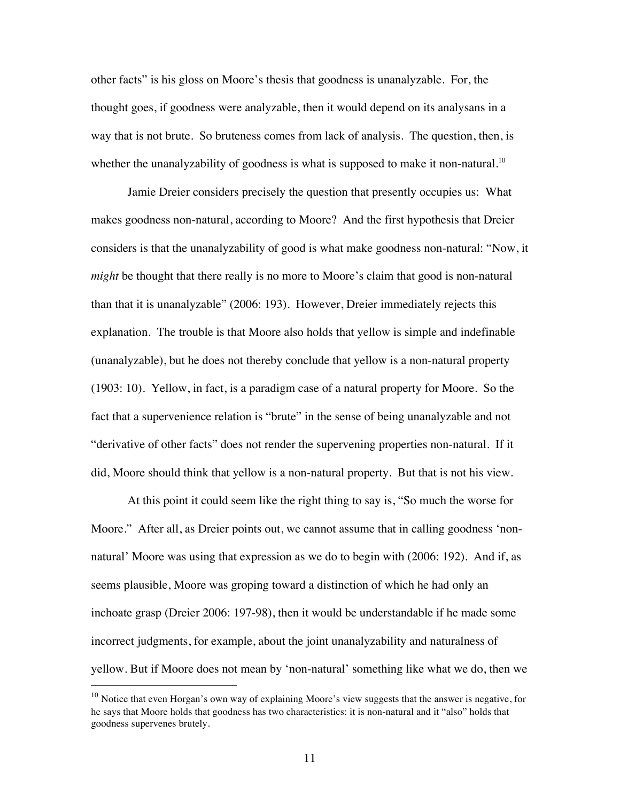other facts" is his gloss on Moore's thesis that goodness is unanalyzable. For, the thought goes, if goodness were analyzable, then it would depend on its analysans in a way that is not brute. So bruteness comes from lack of analysis. The question, then, is whether the unanalyzability of goodness is what is supposed to make it non-natural.<sup>10</sup>

Jamie Dreier considers precisely the question that presently occupies us: What makes goodness non-natural, according to Moore? And the first hypothesis that Dreier considers is that the unanalyzability of good is what make goodness non-natural: "Now, it *might* be thought that there really is no more to Moore's claim that good is non-natural than that it is unanalyzable" (2006: 193). However, Dreier immediately rejects this explanation. The trouble is that Moore also holds that yellow is simple and indefinable (unanalyzable), but he does not thereby conclude that yellow is a non-natural property (1903: 10). Yellow, in fact, is a paradigm case of a natural property for Moore. So the fact that a supervenience relation is "brute" in the sense of being unanalyzable and not "derivative of other facts" does not render the supervening properties non-natural. If it did, Moore should think that yellow is a non-natural property. But that is not his view.

At this point it could seem like the right thing to say is, "So much the worse for Moore." After all, as Dreier points out, we cannot assume that in calling goodness 'nonnatural' Moore was using that expression as we do to begin with (2006: 192). And if, as seems plausible, Moore was groping toward a distinction of which he had only an inchoate grasp (Dreier 2006: 197-98), then it would be understandable if he made some incorrect judgments, for example, about the joint unanalyzability and naturalness of yellow. But if Moore does not mean by 'non-natural' something like what we do, then we

<sup>&</sup>lt;sup>10</sup> Notice that even Horgan's own way of explaining Moore's view suggests that the answer is negative, for he says that Moore holds that goodness has two characteristics: it is non-natural and it "also" holds that goodness supervenes brutely.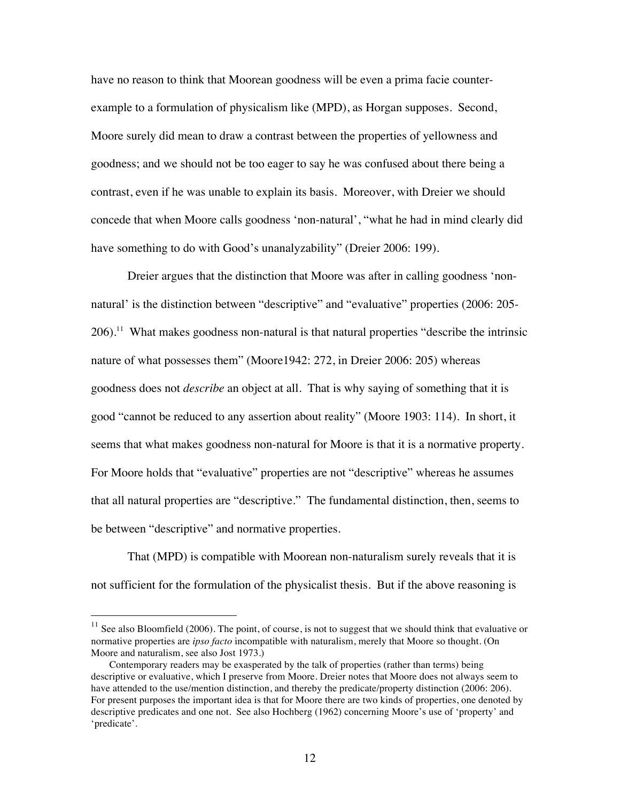have no reason to think that Moorean goodness will be even a prima facie counterexample to a formulation of physicalism like (MPD), as Horgan supposes. Second, Moore surely did mean to draw a contrast between the properties of yellowness and goodness; and we should not be too eager to say he was confused about there being a contrast, even if he was unable to explain its basis. Moreover, with Dreier we should concede that when Moore calls goodness 'non-natural', "what he had in mind clearly did have something to do with Good's unanalyzability" (Dreier 2006: 199).

Dreier argues that the distinction that Moore was after in calling goodness 'nonnatural' is the distinction between "descriptive" and "evaluative" properties (2006: 205-  $206$ .<sup>11</sup> What makes goodness non-natural is that natural properties "describe the intrinsic nature of what possesses them" (Moore1942: 272, in Dreier 2006: 205) whereas goodness does not *describe* an object at all. That is why saying of something that it is good "cannot be reduced to any assertion about reality" (Moore 1903: 114). In short, it seems that what makes goodness non-natural for Moore is that it is a normative property. For Moore holds that "evaluative" properties are not "descriptive" whereas he assumes that all natural properties are "descriptive." The fundamental distinction, then, seems to be between "descriptive" and normative properties.

That (MPD) is compatible with Moorean non-naturalism surely reveals that it is not sufficient for the formulation of the physicalist thesis. But if the above reasoning is

 $11$  See also Bloomfield (2006). The point, of course, is not to suggest that we should think that evaluative or normative properties are *ipso facto* incompatible with naturalism, merely that Moore so thought. (On Moore and naturalism, see also Jost 1973.)

Contemporary readers may be exasperated by the talk of properties (rather than terms) being descriptive or evaluative, which I preserve from Moore. Dreier notes that Moore does not always seem to have attended to the use/mention distinction, and thereby the predicate/property distinction (2006: 206). For present purposes the important idea is that for Moore there are two kinds of properties, one denoted by descriptive predicates and one not. See also Hochberg (1962) concerning Moore's use of 'property' and 'predicate'.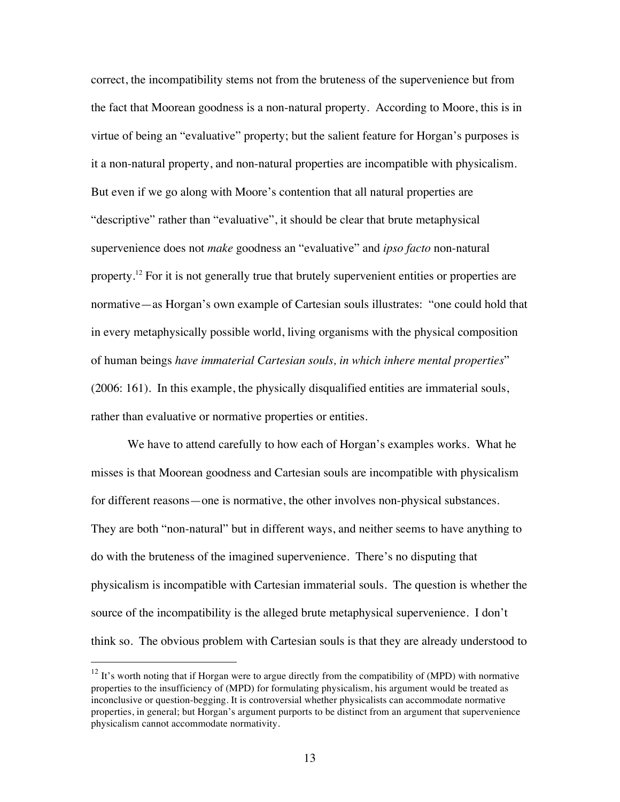correct, the incompatibility stems not from the bruteness of the supervenience but from the fact that Moorean goodness is a non-natural property. According to Moore, this is in virtue of being an "evaluative" property; but the salient feature for Horgan's purposes is it a non-natural property, and non-natural properties are incompatible with physicalism. But even if we go along with Moore's contention that all natural properties are "descriptive" rather than "evaluative", it should be clear that brute metaphysical supervenience does not *make* goodness an "evaluative" and *ipso facto* non-natural property.<sup>12</sup> For it is not generally true that brutely supervenient entities or properties are normative—as Horgan's own example of Cartesian souls illustrates: "one could hold that in every metaphysically possible world, living organisms with the physical composition of human beings *have immaterial Cartesian souls, in which inhere mental properties*" (2006: 161). In this example, the physically disqualified entities are immaterial souls, rather than evaluative or normative properties or entities.

We have to attend carefully to how each of Horgan's examples works. What he misses is that Moorean goodness and Cartesian souls are incompatible with physicalism for different reasons—one is normative, the other involves non-physical substances. They are both "non-natural" but in different ways, and neither seems to have anything to do with the bruteness of the imagined supervenience. There's no disputing that physicalism is incompatible with Cartesian immaterial souls. The question is whether the source of the incompatibility is the alleged brute metaphysical supervenience. I don't think so. The obvious problem with Cartesian souls is that they are already understood to

 $12$  It's worth noting that if Horgan were to argue directly from the compatibility of (MPD) with normative properties to the insufficiency of (MPD) for formulating physicalism, his argument would be treated as inconclusive or question-begging. It is controversial whether physicalists can accommodate normative properties, in general; but Horgan's argument purports to be distinct from an argument that supervenience physicalism cannot accommodate normativity.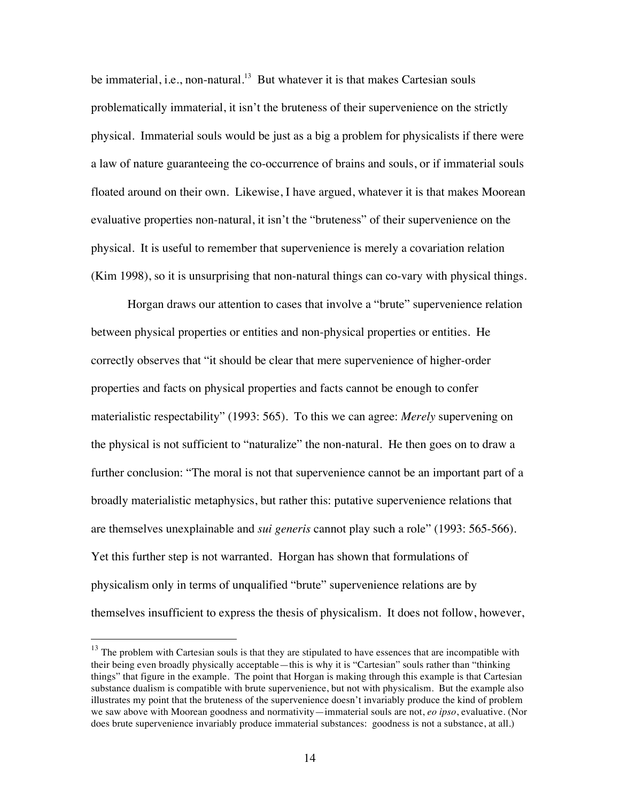be immaterial, i.e., non-natural.<sup>13</sup> But whatever it is that makes Cartesian souls problematically immaterial, it isn't the bruteness of their supervenience on the strictly physical. Immaterial souls would be just as a big a problem for physicalists if there were a law of nature guaranteeing the co-occurrence of brains and souls, or if immaterial souls floated around on their own. Likewise, I have argued, whatever it is that makes Moorean evaluative properties non-natural, it isn't the "bruteness" of their supervenience on the physical. It is useful to remember that supervenience is merely a covariation relation (Kim 1998), so it is unsurprising that non-natural things can co-vary with physical things.

Horgan draws our attention to cases that involve a "brute" supervenience relation between physical properties or entities and non-physical properties or entities. He correctly observes that "it should be clear that mere supervenience of higher-order properties and facts on physical properties and facts cannot be enough to confer materialistic respectability" (1993: 565). To this we can agree: *Merely* supervening on the physical is not sufficient to "naturalize" the non-natural. He then goes on to draw a further conclusion: "The moral is not that supervenience cannot be an important part of a broadly materialistic metaphysics, but rather this: putative supervenience relations that are themselves unexplainable and *sui generis* cannot play such a role" (1993: 565-566). Yet this further step is not warranted. Horgan has shown that formulations of physicalism only in terms of unqualified "brute" supervenience relations are by themselves insufficient to express the thesis of physicalism. It does not follow, however,

 $13$  The problem with Cartesian souls is that they are stipulated to have essences that are incompatible with their being even broadly physically acceptable—this is why it is "Cartesian" souls rather than "thinking things" that figure in the example. The point that Horgan is making through this example is that Cartesian substance dualism is compatible with brute supervenience, but not with physicalism. But the example also illustrates my point that the bruteness of the supervenience doesn't invariably produce the kind of problem we saw above with Moorean goodness and normativity—immaterial souls are not, *eo ipso*, evaluative. (Nor does brute supervenience invariably produce immaterial substances: goodness is not a substance, at all.)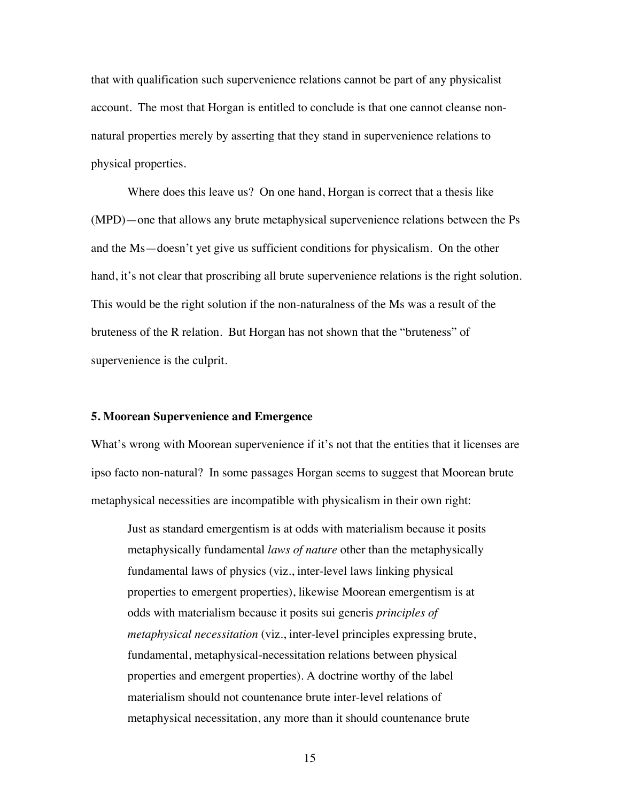that with qualification such supervenience relations cannot be part of any physicalist account. The most that Horgan is entitled to conclude is that one cannot cleanse nonnatural properties merely by asserting that they stand in supervenience relations to physical properties.

Where does this leave us? On one hand, Horgan is correct that a thesis like (MPD)—one that allows any brute metaphysical supervenience relations between the Ps and the Ms—doesn't yet give us sufficient conditions for physicalism. On the other hand, it's not clear that proscribing all brute supervenience relations is the right solution. This would be the right solution if the non-naturalness of the Ms was a result of the bruteness of the R relation. But Horgan has not shown that the "bruteness" of supervenience is the culprit.

## **5. Moorean Supervenience and Emergence**

What's wrong with Moorean supervenience if it's not that the entities that it licenses are ipso facto non-natural? In some passages Horgan seems to suggest that Moorean brute metaphysical necessities are incompatible with physicalism in their own right:

Just as standard emergentism is at odds with materialism because it posits metaphysically fundamental *laws of nature* other than the metaphysically fundamental laws of physics (viz., inter-level laws linking physical properties to emergent properties), likewise Moorean emergentism is at odds with materialism because it posits sui generis *principles of metaphysical necessitation* (viz., inter-level principles expressing brute, fundamental, metaphysical-necessitation relations between physical properties and emergent properties). A doctrine worthy of the label materialism should not countenance brute inter-level relations of metaphysical necessitation, any more than it should countenance brute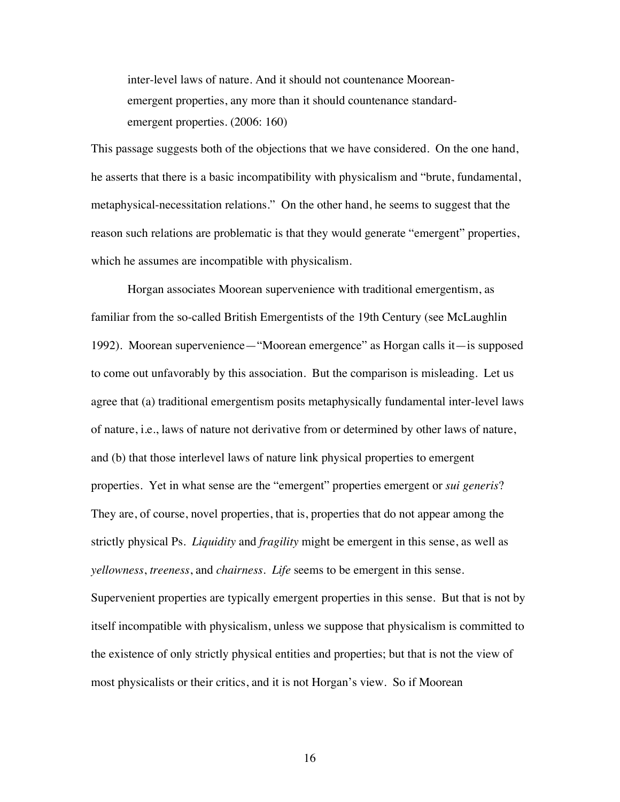inter-level laws of nature. And it should not countenance Mooreanemergent properties, any more than it should countenance standardemergent properties. (2006: 160)

This passage suggests both of the objections that we have considered. On the one hand, he asserts that there is a basic incompatibility with physicalism and "brute, fundamental, metaphysical-necessitation relations." On the other hand, he seems to suggest that the reason such relations are problematic is that they would generate "emergent" properties, which he assumes are incompatible with physicalism.

Horgan associates Moorean supervenience with traditional emergentism, as familiar from the so-called British Emergentists of the 19th Century (see McLaughlin 1992). Moorean supervenience—"Moorean emergence" as Horgan calls it—is supposed to come out unfavorably by this association. But the comparison is misleading. Let us agree that (a) traditional emergentism posits metaphysically fundamental inter-level laws of nature, i.e., laws of nature not derivative from or determined by other laws of nature, and (b) that those interlevel laws of nature link physical properties to emergent properties. Yet in what sense are the "emergent" properties emergent or *sui generis*? They are, of course, novel properties, that is, properties that do not appear among the strictly physical Ps. *Liquidity* and *fragility* might be emergent in this sense, as well as *yellowness*, *treeness*, and *chairness*. *Life* seems to be emergent in this sense. Supervenient properties are typically emergent properties in this sense. But that is not by itself incompatible with physicalism, unless we suppose that physicalism is committed to the existence of only strictly physical entities and properties; but that is not the view of most physicalists or their critics, and it is not Horgan's view. So if Moorean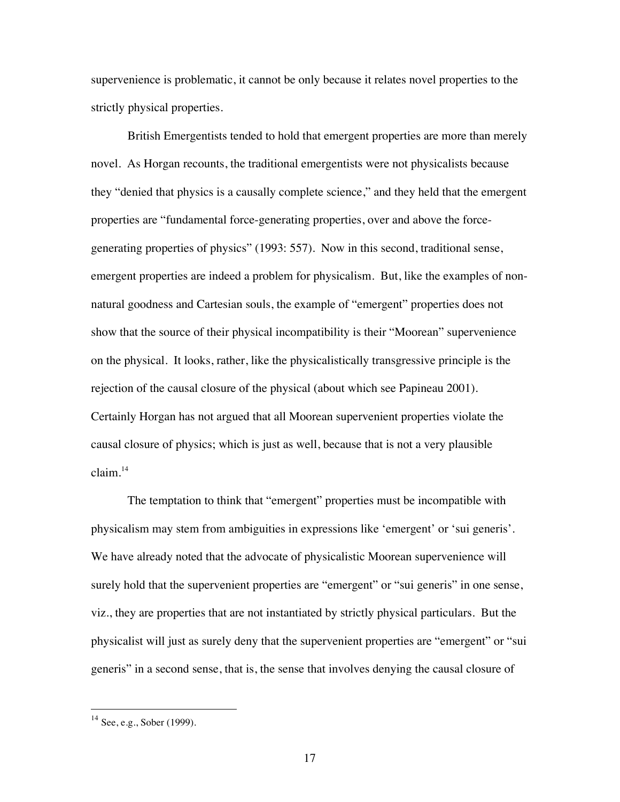supervenience is problematic, it cannot be only because it relates novel properties to the strictly physical properties.

British Emergentists tended to hold that emergent properties are more than merely novel. As Horgan recounts, the traditional emergentists were not physicalists because they "denied that physics is a causally complete science," and they held that the emergent properties are "fundamental force-generating properties, over and above the forcegenerating properties of physics" (1993: 557). Now in this second, traditional sense, emergent properties are indeed a problem for physicalism. But, like the examples of nonnatural goodness and Cartesian souls, the example of "emergent" properties does not show that the source of their physical incompatibility is their "Moorean" supervenience on the physical. It looks, rather, like the physicalistically transgressive principle is the rejection of the causal closure of the physical (about which see Papineau 2001). Certainly Horgan has not argued that all Moorean supervenient properties violate the causal closure of physics; which is just as well, because that is not a very plausible  $claim.<sup>14</sup>$ 

The temptation to think that "emergent" properties must be incompatible with physicalism may stem from ambiguities in expressions like 'emergent' or 'sui generis'. We have already noted that the advocate of physicalistic Moorean supervenience will surely hold that the supervenient properties are "emergent" or "sui generis" in one sense, viz., they are properties that are not instantiated by strictly physical particulars. But the physicalist will just as surely deny that the supervenient properties are "emergent" or "sui generis" in a second sense, that is, the sense that involves denying the causal closure of

 $14$  See, e.g., Sober (1999).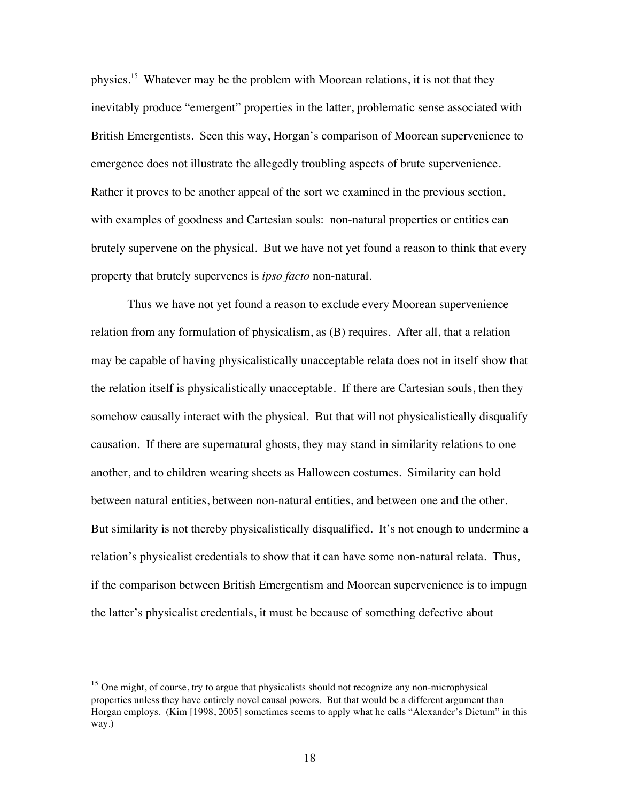physics.15 Whatever may be the problem with Moorean relations, it is not that they inevitably produce "emergent" properties in the latter, problematic sense associated with British Emergentists. Seen this way, Horgan's comparison of Moorean supervenience to emergence does not illustrate the allegedly troubling aspects of brute supervenience. Rather it proves to be another appeal of the sort we examined in the previous section, with examples of goodness and Cartesian souls: non-natural properties or entities can brutely supervene on the physical. But we have not yet found a reason to think that every property that brutely supervenes is *ipso facto* non-natural.

Thus we have not yet found a reason to exclude every Moorean supervenience relation from any formulation of physicalism, as (B) requires. After all, that a relation may be capable of having physicalistically unacceptable relata does not in itself show that the relation itself is physicalistically unacceptable. If there are Cartesian souls, then they somehow causally interact with the physical. But that will not physicalistically disqualify causation. If there are supernatural ghosts, they may stand in similarity relations to one another, and to children wearing sheets as Halloween costumes. Similarity can hold between natural entities, between non-natural entities, and between one and the other. But similarity is not thereby physicalistically disqualified. It's not enough to undermine a relation's physicalist credentials to show that it can have some non-natural relata. Thus, if the comparison between British Emergentism and Moorean supervenience is to impugn the latter's physicalist credentials, it must be because of something defective about

 $15$  One might, of course, try to argue that physicalists should not recognize any non-microphysical properties unless they have entirely novel causal powers. But that would be a different argument than Horgan employs. (Kim [1998, 2005] sometimes seems to apply what he calls "Alexander's Dictum" in this way.)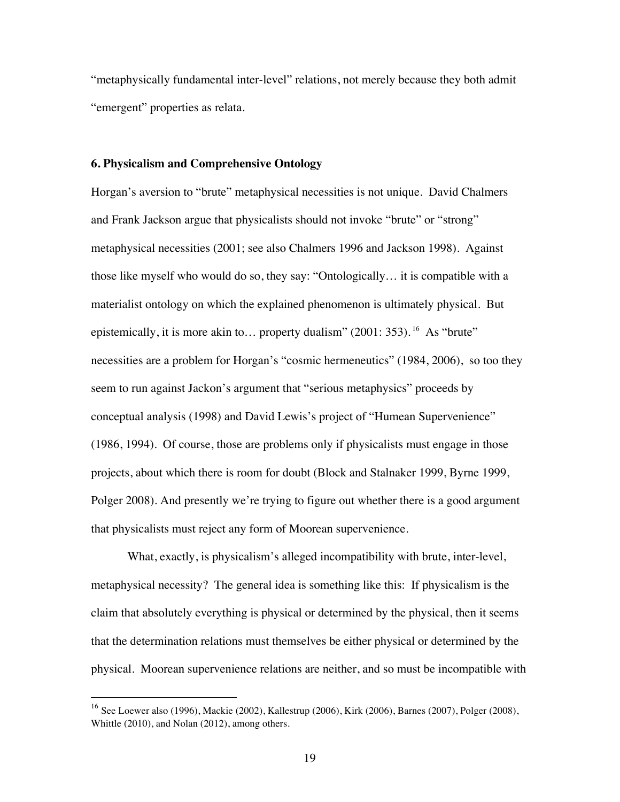"metaphysically fundamental inter-level" relations, not merely because they both admit "emergent" properties as relata.

### **6. Physicalism and Comprehensive Ontology**

Horgan's aversion to "brute" metaphysical necessities is not unique. David Chalmers and Frank Jackson argue that physicalists should not invoke "brute" or "strong" metaphysical necessities (2001; see also Chalmers 1996 and Jackson 1998). Against those like myself who would do so, they say: "Ontologically… it is compatible with a materialist ontology on which the explained phenomenon is ultimately physical. But epistemically, it is more akin to... property dualism"  $(2001: 353)$ . <sup>16</sup> As "brute" necessities are a problem for Horgan's "cosmic hermeneutics" (1984, 2006), so too they seem to run against Jackon's argument that "serious metaphysics" proceeds by conceptual analysis (1998) and David Lewis's project of "Humean Supervenience" (1986, 1994). Of course, those are problems only if physicalists must engage in those projects, about which there is room for doubt (Block and Stalnaker 1999, Byrne 1999, Polger 2008). And presently we're trying to figure out whether there is a good argument that physicalists must reject any form of Moorean supervenience.

What, exactly, is physicalism's alleged incompatibility with brute, inter-level, metaphysical necessity? The general idea is something like this: If physicalism is the claim that absolutely everything is physical or determined by the physical, then it seems that the determination relations must themselves be either physical or determined by the physical. Moorean supervenience relations are neither, and so must be incompatible with

 <sup>16</sup> See Loewer also (1996), Mackie (2002), Kallestrup (2006), Kirk (2006), Barnes (2007), Polger (2008), Whittle (2010), and Nolan (2012), among others.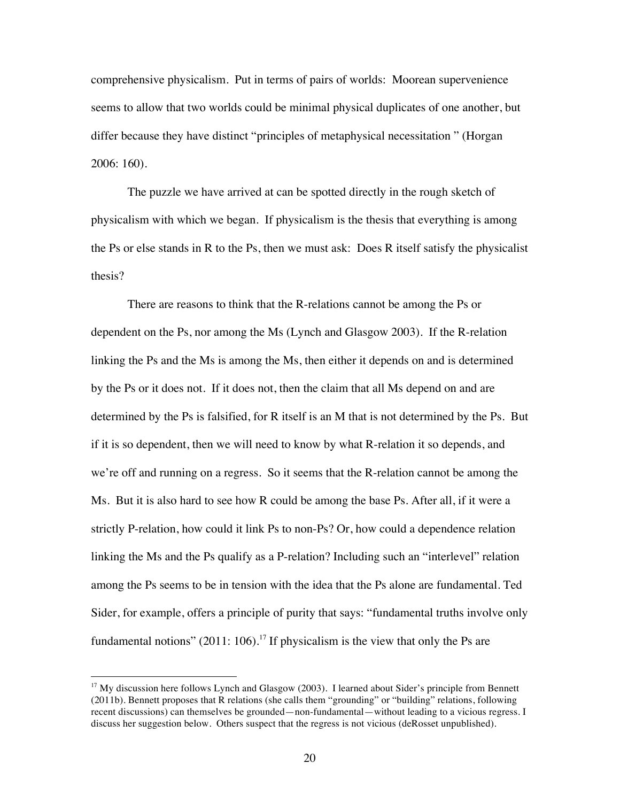comprehensive physicalism. Put in terms of pairs of worlds: Moorean supervenience seems to allow that two worlds could be minimal physical duplicates of one another, but differ because they have distinct "principles of metaphysical necessitation " (Horgan 2006: 160).

The puzzle we have arrived at can be spotted directly in the rough sketch of physicalism with which we began. If physicalism is the thesis that everything is among the Ps or else stands in R to the Ps, then we must ask: Does R itself satisfy the physicalist thesis?

There are reasons to think that the R-relations cannot be among the Ps or dependent on the Ps, nor among the Ms (Lynch and Glasgow 2003). If the R-relation linking the Ps and the Ms is among the Ms, then either it depends on and is determined by the Ps or it does not. If it does not, then the claim that all Ms depend on and are determined by the Ps is falsified, for R itself is an M that is not determined by the Ps. But if it is so dependent, then we will need to know by what R-relation it so depends, and we're off and running on a regress. So it seems that the R-relation cannot be among the Ms. But it is also hard to see how R could be among the base Ps. After all, if it were a strictly P-relation, how could it link Ps to non-Ps? Or, how could a dependence relation linking the Ms and the Ps qualify as a P-relation? Including such an "interlevel" relation among the Ps seems to be in tension with the idea that the Ps alone are fundamental. Ted Sider, for example, offers a principle of purity that says: "fundamental truths involve only fundamental notions" (2011: 106).<sup>17</sup> If physicalism is the view that only the Ps are

<sup>&</sup>lt;sup>17</sup> My discussion here follows Lynch and Glasgow (2003). I learned about Sider's principle from Bennett (2011b). Bennett proposes that R relations (she calls them "grounding" or "building" relations, following recent discussions) can themselves be grounded—non-fundamental—without leading to a vicious regress. I discuss her suggestion below. Others suspect that the regress is not vicious (deRosset unpublished).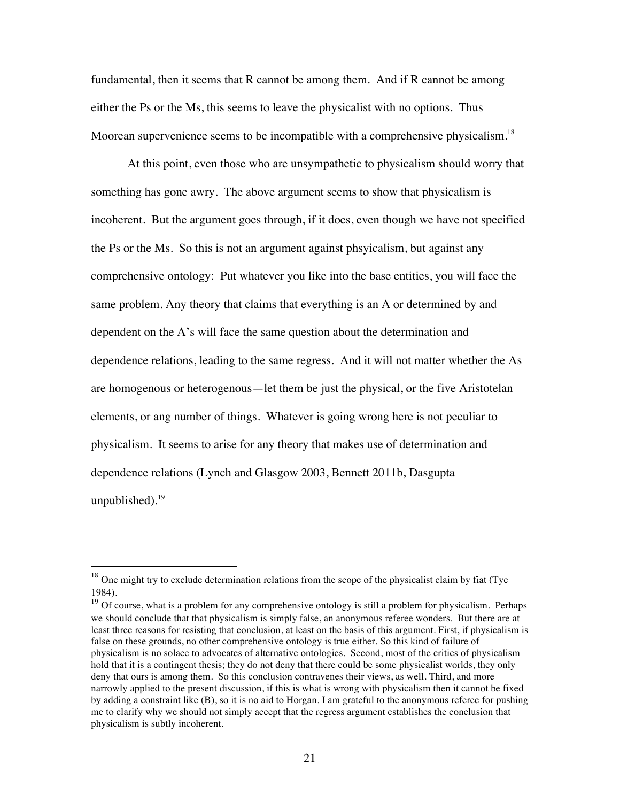fundamental, then it seems that R cannot be among them. And if R cannot be among either the Ps or the Ms, this seems to leave the physicalist with no options. Thus Moorean supervenience seems to be incompatible with a comprehensive physicalism.<sup>18</sup>

At this point, even those who are unsympathetic to physicalism should worry that something has gone awry. The above argument seems to show that physicalism is incoherent. But the argument goes through, if it does, even though we have not specified the Ps or the Ms. So this is not an argument against phsyicalism, but against any comprehensive ontology: Put whatever you like into the base entities, you will face the same problem. Any theory that claims that everything is an A or determined by and dependent on the A's will face the same question about the determination and dependence relations, leading to the same regress. And it will not matter whether the As are homogenous or heterogenous—let them be just the physical, or the five Aristotelan elements, or ang number of things. Whatever is going wrong here is not peculiar to physicalism. It seems to arise for any theory that makes use of determination and dependence relations (Lynch and Glasgow 2003, Bennett 2011b, Dasgupta unpublished). $19$ 

<sup>&</sup>lt;sup>18</sup> One might try to exclude determination relations from the scope of the physicalist claim by fiat (Tye 1984).

<sup>&</sup>lt;sup>19</sup> Of course, what is a problem for any comprehensive ontology is still a problem for physicalism. Perhaps we should conclude that that physicalism is simply false, an anonymous referee wonders. But there are at least three reasons for resisting that conclusion, at least on the basis of this argument. First, if physicalism is false on these grounds, no other comprehensive ontology is true either. So this kind of failure of physicalism is no solace to advocates of alternative ontologies. Second, most of the critics of physicalism hold that it is a contingent thesis; they do not deny that there could be some physicalist worlds, they only deny that ours is among them. So this conclusion contravenes their views, as well. Third, and more narrowly applied to the present discussion, if this is what is wrong with physicalism then it cannot be fixed by adding a constraint like (B), so it is no aid to Horgan. I am grateful to the anonymous referee for pushing me to clarify why we should not simply accept that the regress argument establishes the conclusion that physicalism is subtly incoherent.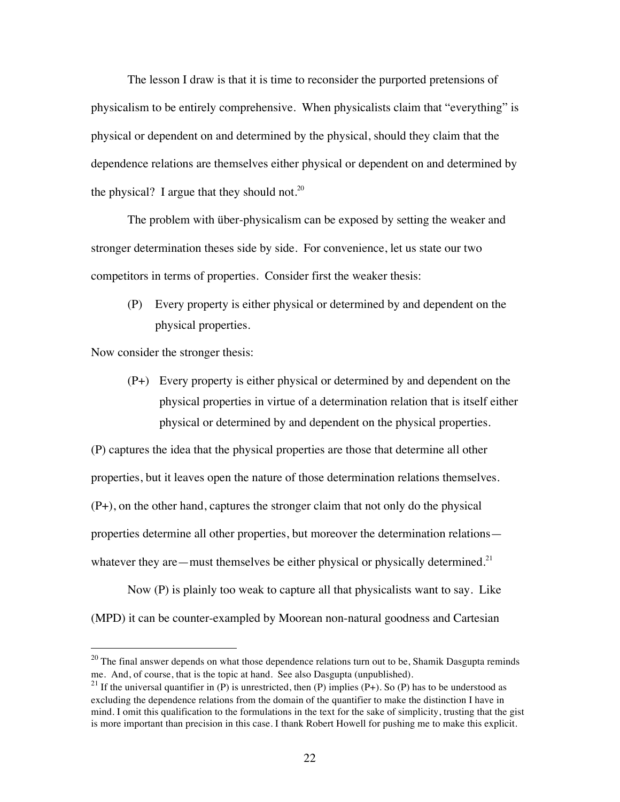The lesson I draw is that it is time to reconsider the purported pretensions of physicalism to be entirely comprehensive. When physicalists claim that "everything" is physical or dependent on and determined by the physical, should they claim that the dependence relations are themselves either physical or dependent on and determined by the physical? I argue that they should not.<sup>20</sup>

The problem with über-physicalism can be exposed by setting the weaker and stronger determination theses side by side. For convenience, let us state our two competitors in terms of properties. Consider first the weaker thesis:

(P) Every property is either physical or determined by and dependent on the physical properties.

Now consider the stronger thesis:

(P+) Every property is either physical or determined by and dependent on the physical properties in virtue of a determination relation that is itself either physical or determined by and dependent on the physical properties.

(P) captures the idea that the physical properties are those that determine all other properties, but it leaves open the nature of those determination relations themselves. (P+), on the other hand, captures the stronger claim that not only do the physical properties determine all other properties, but moreover the determination relations whatever they are—must themselves be either physical or physically determined.<sup>21</sup>

Now (P) is plainly too weak to capture all that physicalists want to say. Like (MPD) it can be counter-exampled by Moorean non-natural goodness and Cartesian

 $20$  The final answer depends on what those dependence relations turn out to be, Shamik Dasgupta reminds me. And, of course, that is the topic at hand. See also Dasgupta (unpublished).

<sup>&</sup>lt;sup>21</sup> If the universal quantifier in (P) is unrestricted, then (P) implies (P+). So (P) has to be understood as excluding the dependence relations from the domain of the quantifier to make the distinction I have in mind. I omit this qualification to the formulations in the text for the sake of simplicity, trusting that the gist is more important than precision in this case. I thank Robert Howell for pushing me to make this explicit.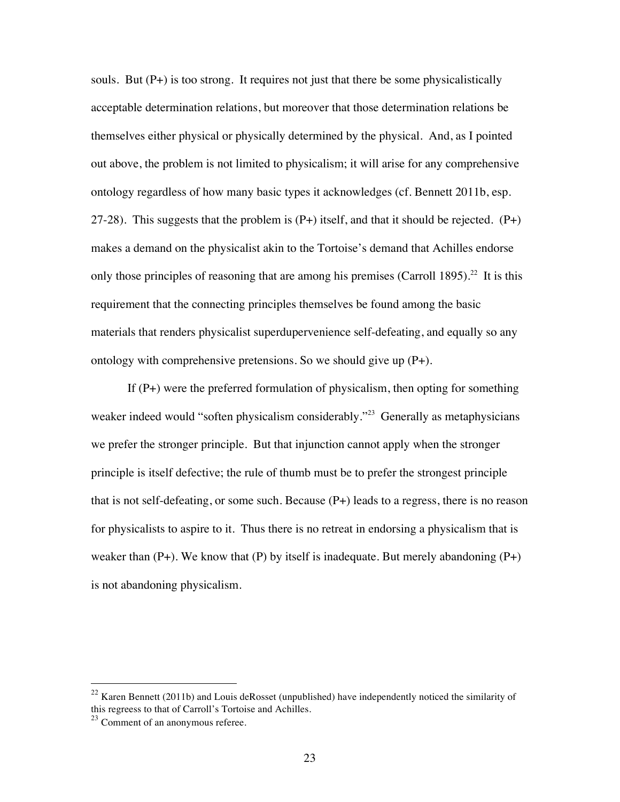souls. But  $(P<sub>+</sub>)$  is too strong. It requires not just that there be some physicalistically acceptable determination relations, but moreover that those determination relations be themselves either physical or physically determined by the physical. And, as I pointed out above, the problem is not limited to physicalism; it will arise for any comprehensive ontology regardless of how many basic types it acknowledges (cf. Bennett 2011b, esp. 27-28). This suggests that the problem is  $(P+)$  itself, and that it should be rejected.  $(P+)$ makes a demand on the physicalist akin to the Tortoise's demand that Achilles endorse only those principles of reasoning that are among his premises (Carroll 1895).<sup>22</sup> It is this requirement that the connecting principles themselves be found among the basic materials that renders physicalist superdupervenience self-defeating, and equally so any ontology with comprehensive pretensions. So we should give up  $(P+)$ .

If (P+) were the preferred formulation of physicalism, then opting for something weaker indeed would "soften physicalism considerably."<sup>23</sup> Generally as metaphysicians we prefer the stronger principle. But that injunction cannot apply when the stronger principle is itself defective; the rule of thumb must be to prefer the strongest principle that is not self-defeating, or some such. Because (P+) leads to a regress, there is no reason for physicalists to aspire to it. Thus there is no retreat in endorsing a physicalism that is weaker than  $(P+)$ . We know that  $(P)$  by itself is inadequate. But merely abandoning  $(P+)$ is not abandoning physicalism.

<sup>&</sup>lt;sup>22</sup> Karen Bennett (2011b) and Louis deRosset (unpublished) have independently noticed the similarity of this regreess to that of Carroll's Tortoise and Achilles.

<sup>&</sup>lt;sup>23</sup> Comment of an anonymous referee.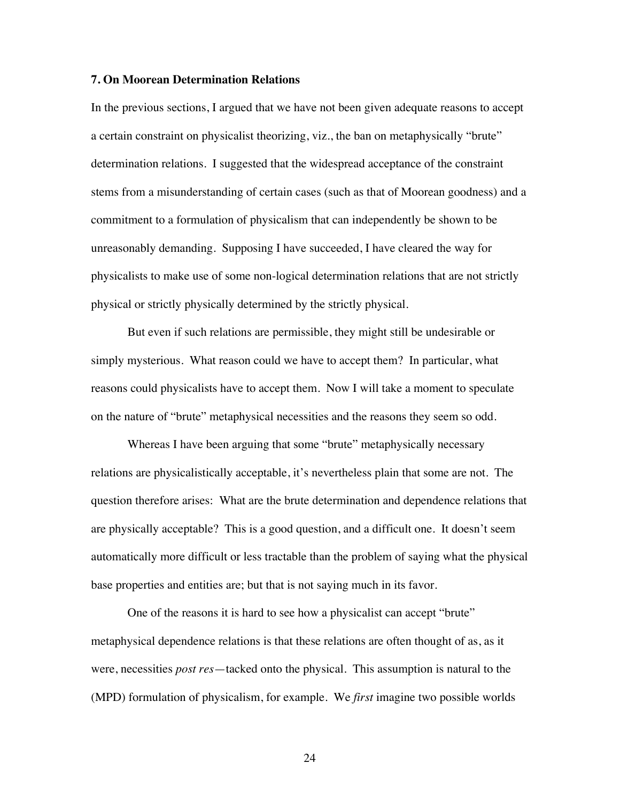#### **7. On Moorean Determination Relations**

In the previous sections, I argued that we have not been given adequate reasons to accept a certain constraint on physicalist theorizing, viz., the ban on metaphysically "brute" determination relations. I suggested that the widespread acceptance of the constraint stems from a misunderstanding of certain cases (such as that of Moorean goodness) and a commitment to a formulation of physicalism that can independently be shown to be unreasonably demanding. Supposing I have succeeded, I have cleared the way for physicalists to make use of some non-logical determination relations that are not strictly physical or strictly physically determined by the strictly physical.

But even if such relations are permissible, they might still be undesirable or simply mysterious. What reason could we have to accept them? In particular, what reasons could physicalists have to accept them. Now I will take a moment to speculate on the nature of "brute" metaphysical necessities and the reasons they seem so odd.

Whereas I have been arguing that some "brute" metaphysically necessary relations are physicalistically acceptable, it's nevertheless plain that some are not. The question therefore arises: What are the brute determination and dependence relations that are physically acceptable? This is a good question, and a difficult one. It doesn't seem automatically more difficult or less tractable than the problem of saying what the physical base properties and entities are; but that is not saying much in its favor.

One of the reasons it is hard to see how a physicalist can accept "brute" metaphysical dependence relations is that these relations are often thought of as, as it were, necessities *post res*—tacked onto the physical. This assumption is natural to the (MPD) formulation of physicalism, for example. We *first* imagine two possible worlds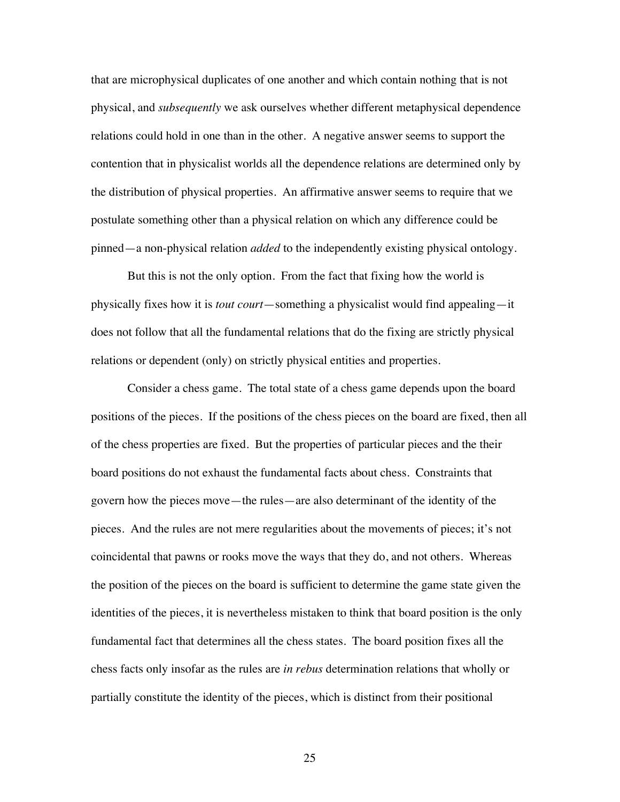that are microphysical duplicates of one another and which contain nothing that is not physical, and *subsequently* we ask ourselves whether different metaphysical dependence relations could hold in one than in the other. A negative answer seems to support the contention that in physicalist worlds all the dependence relations are determined only by the distribution of physical properties. An affirmative answer seems to require that we postulate something other than a physical relation on which any difference could be pinned—a non-physical relation *added* to the independently existing physical ontology.

But this is not the only option. From the fact that fixing how the world is physically fixes how it is *tout court*—something a physicalist would find appealing—it does not follow that all the fundamental relations that do the fixing are strictly physical relations or dependent (only) on strictly physical entities and properties.

Consider a chess game. The total state of a chess game depends upon the board positions of the pieces. If the positions of the chess pieces on the board are fixed, then all of the chess properties are fixed. But the properties of particular pieces and the their board positions do not exhaust the fundamental facts about chess. Constraints that govern how the pieces move—the rules—are also determinant of the identity of the pieces. And the rules are not mere regularities about the movements of pieces; it's not coincidental that pawns or rooks move the ways that they do, and not others. Whereas the position of the pieces on the board is sufficient to determine the game state given the identities of the pieces, it is nevertheless mistaken to think that board position is the only fundamental fact that determines all the chess states. The board position fixes all the chess facts only insofar as the rules are *in rebus* determination relations that wholly or partially constitute the identity of the pieces, which is distinct from their positional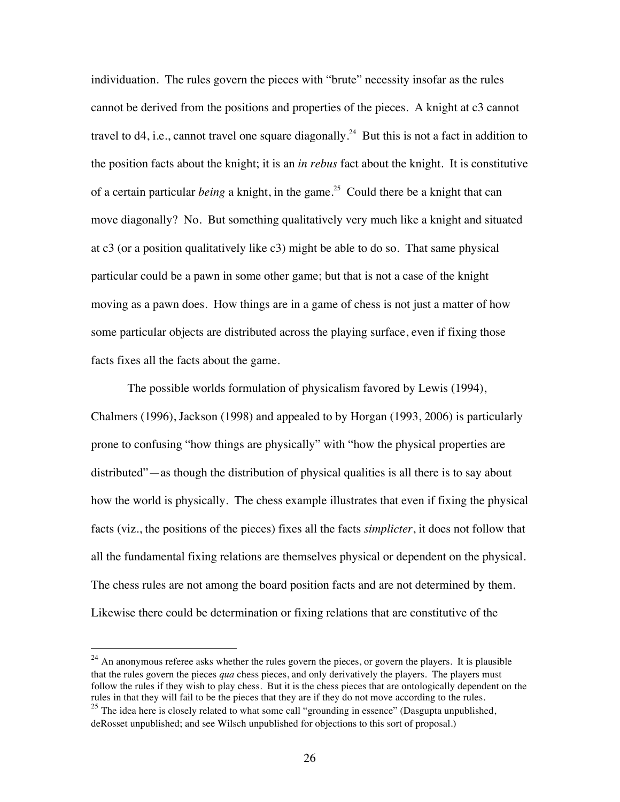individuation. The rules govern the pieces with "brute" necessity insofar as the rules cannot be derived from the positions and properties of the pieces. A knight at c3 cannot travel to  $d4$ , i.e., cannot travel one square diagonally.<sup>24</sup> But this is not a fact in addition to the position facts about the knight; it is an *in rebus* fact about the knight. It is constitutive of a certain particular *being* a knight, in the game.25 Could there be a knight that can move diagonally? No. But something qualitatively very much like a knight and situated at c3 (or a position qualitatively like c3) might be able to do so. That same physical particular could be a pawn in some other game; but that is not a case of the knight moving as a pawn does. How things are in a game of chess is not just a matter of how some particular objects are distributed across the playing surface, even if fixing those facts fixes all the facts about the game.

The possible worlds formulation of physicalism favored by Lewis (1994), Chalmers (1996), Jackson (1998) and appealed to by Horgan (1993, 2006) is particularly prone to confusing "how things are physically" with "how the physical properties are distributed"—as though the distribution of physical qualities is all there is to say about how the world is physically. The chess example illustrates that even if fixing the physical facts (viz., the positions of the pieces) fixes all the facts *simplicter*, it does not follow that all the fundamental fixing relations are themselves physical or dependent on the physical. The chess rules are not among the board position facts and are not determined by them. Likewise there could be determination or fixing relations that are constitutive of the

 $24$  An anonymous referee asks whether the rules govern the pieces, or govern the players. It is plausible that the rules govern the pieces *qua* chess pieces, and only derivatively the players. The players must follow the rules if they wish to play chess. But it is the chess pieces that are ontologically dependent on the rules in that they will fail to be the pieces that they are if they do not move according to the rules.

<sup>&</sup>lt;sup>25</sup> The idea here is closely related to what some call "grounding in essence" (Dasgupta unpublished, deRosset unpublished; and see Wilsch unpublished for objections to this sort of proposal.)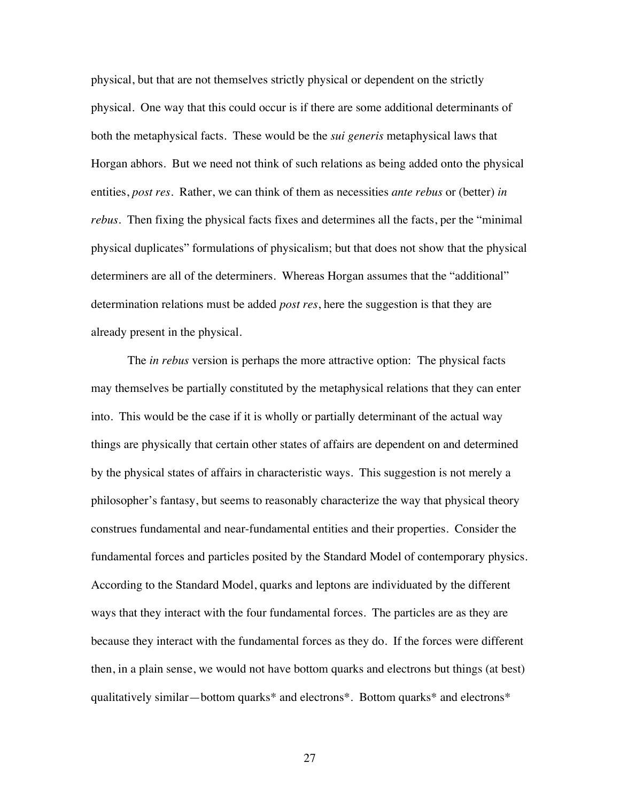physical, but that are not themselves strictly physical or dependent on the strictly physical. One way that this could occur is if there are some additional determinants of both the metaphysical facts. These would be the *sui generis* metaphysical laws that Horgan abhors. But we need not think of such relations as being added onto the physical entities, *post res*. Rather, we can think of them as necessities *ante rebus* or (better) *in rebus*. Then fixing the physical facts fixes and determines all the facts, per the "minimal physical duplicates" formulations of physicalism; but that does not show that the physical determiners are all of the determiners. Whereas Horgan assumes that the "additional" determination relations must be added *post res*, here the suggestion is that they are already present in the physical.

The *in rebus* version is perhaps the more attractive option: The physical facts may themselves be partially constituted by the metaphysical relations that they can enter into. This would be the case if it is wholly or partially determinant of the actual way things are physically that certain other states of affairs are dependent on and determined by the physical states of affairs in characteristic ways. This suggestion is not merely a philosopher's fantasy, but seems to reasonably characterize the way that physical theory construes fundamental and near-fundamental entities and their properties. Consider the fundamental forces and particles posited by the Standard Model of contemporary physics. According to the Standard Model, quarks and leptons are individuated by the different ways that they interact with the four fundamental forces. The particles are as they are because they interact with the fundamental forces as they do. If the forces were different then, in a plain sense, we would not have bottom quarks and electrons but things (at best) qualitatively similar—bottom quarks\* and electrons\*. Bottom quarks\* and electrons\*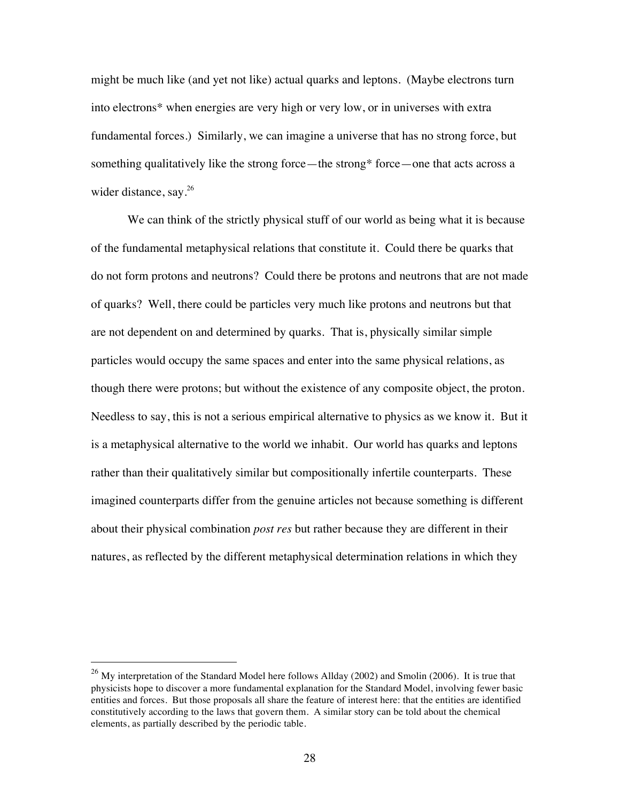might be much like (and yet not like) actual quarks and leptons. (Maybe electrons turn into electrons\* when energies are very high or very low, or in universes with extra fundamental forces.) Similarly, we can imagine a universe that has no strong force, but something qualitatively like the strong force—the strong\* force—one that acts across a wider distance, say.<sup>26</sup>

We can think of the strictly physical stuff of our world as being what it is because of the fundamental metaphysical relations that constitute it. Could there be quarks that do not form protons and neutrons? Could there be protons and neutrons that are not made of quarks? Well, there could be particles very much like protons and neutrons but that are not dependent on and determined by quarks. That is, physically similar simple particles would occupy the same spaces and enter into the same physical relations, as though there were protons; but without the existence of any composite object, the proton. Needless to say, this is not a serious empirical alternative to physics as we know it. But it is a metaphysical alternative to the world we inhabit. Our world has quarks and leptons rather than their qualitatively similar but compositionally infertile counterparts. These imagined counterparts differ from the genuine articles not because something is different about their physical combination *post res* but rather because they are different in their natures, as reflected by the different metaphysical determination relations in which they

<sup>&</sup>lt;sup>26</sup> My interpretation of the Standard Model here follows Allday (2002) and Smolin (2006). It is true that physicists hope to discover a more fundamental explanation for the Standard Model, involving fewer basic entities and forces. But those proposals all share the feature of interest here: that the entities are identified constitutively according to the laws that govern them. A similar story can be told about the chemical elements, as partially described by the periodic table.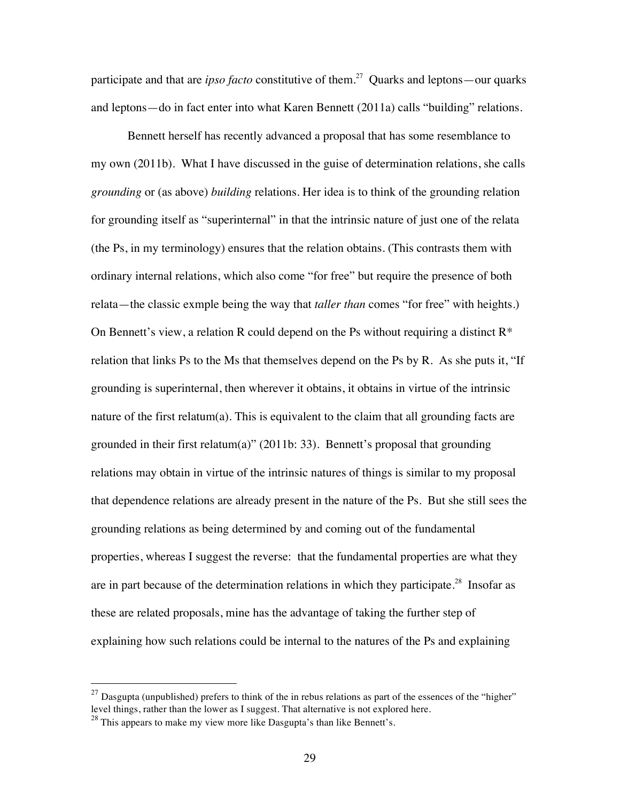participate and that are *ipso facto* constitutive of them.<sup>27</sup> Quarks and leptons—our quarks and leptons—do in fact enter into what Karen Bennett (2011a) calls "building" relations.

Bennett herself has recently advanced a proposal that has some resemblance to my own (2011b). What I have discussed in the guise of determination relations, she calls *grounding* or (as above) *building* relations. Her idea is to think of the grounding relation for grounding itself as "superinternal" in that the intrinsic nature of just one of the relata (the Ps, in my terminology) ensures that the relation obtains. (This contrasts them with ordinary internal relations, which also come "for free" but require the presence of both relata—the classic exmple being the way that *taller than* comes "for free" with heights.) On Bennett's view, a relation R could depend on the Ps without requiring a distinct  $R^*$ relation that links Ps to the Ms that themselves depend on the Ps by R. As she puts it, "If grounding is superinternal, then wherever it obtains, it obtains in virtue of the intrinsic nature of the first relatum(a). This is equivalent to the claim that all grounding facts are grounded in their first relatum(a)" (2011b: 33). Bennett's proposal that grounding relations may obtain in virtue of the intrinsic natures of things is similar to my proposal that dependence relations are already present in the nature of the Ps. But she still sees the grounding relations as being determined by and coming out of the fundamental properties, whereas I suggest the reverse: that the fundamental properties are what they are in part because of the determination relations in which they participate.<sup>28</sup> Insofar as these are related proposals, mine has the advantage of taking the further step of explaining how such relations could be internal to the natures of the Ps and explaining

 $27$  Dasgupta (unpublished) prefers to think of the in rebus relations as part of the essences of the "higher" level things, rather than the lower as I suggest. That alternative is not explored here.

 $28$  This appears to make my view more like Dasgupta's than like Bennett's.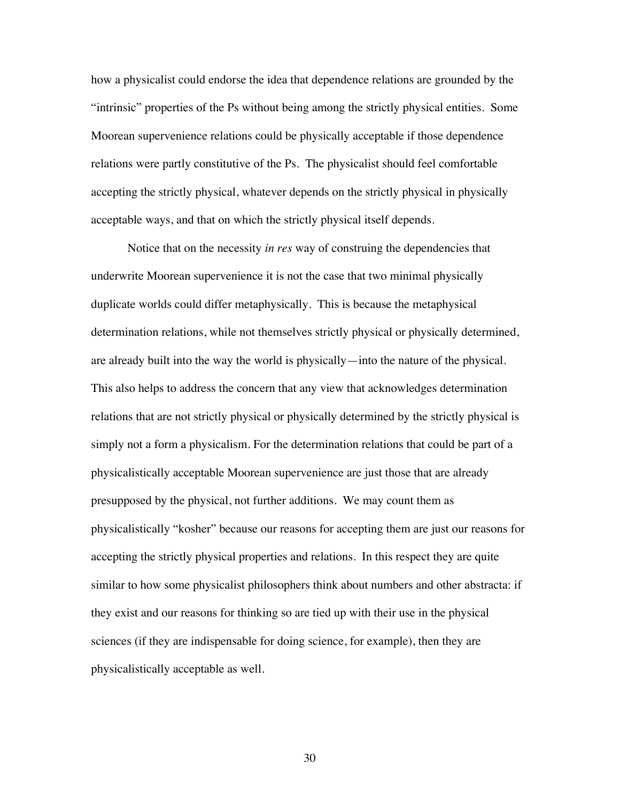how a physicalist could endorse the idea that dependence relations are grounded by the "intrinsic" properties of the Ps without being among the strictly physical entities. Some Moorean supervenience relations could be physically acceptable if those dependence relations were partly constitutive of the Ps. The physicalist should feel comfortable accepting the strictly physical, whatever depends on the strictly physical in physically acceptable ways, and that on which the strictly physical itself depends.

Notice that on the necessity *in res* way of construing the dependencies that underwrite Moorean supervenience it is not the case that two minimal physically duplicate worlds could differ metaphysically. This is because the metaphysical determination relations, while not themselves strictly physical or physically determined, are already built into the way the world is physically—into the nature of the physical. This also helps to address the concern that any view that acknowledges determination relations that are not strictly physical or physically determined by the strictly physical is simply not a form a physicalism. For the determination relations that could be part of a physicalistically acceptable Moorean supervenience are just those that are already presupposed by the physical, not further additions. We may count them as physicalistically "kosher" because our reasons for accepting them are just our reasons for accepting the strictly physical properties and relations. In this respect they are quite similar to how some physicalist philosophers think about numbers and other abstracta: if they exist and our reasons for thinking so are tied up with their use in the physical sciences (if they are indispensable for doing science, for example), then they are physicalistically acceptable as well.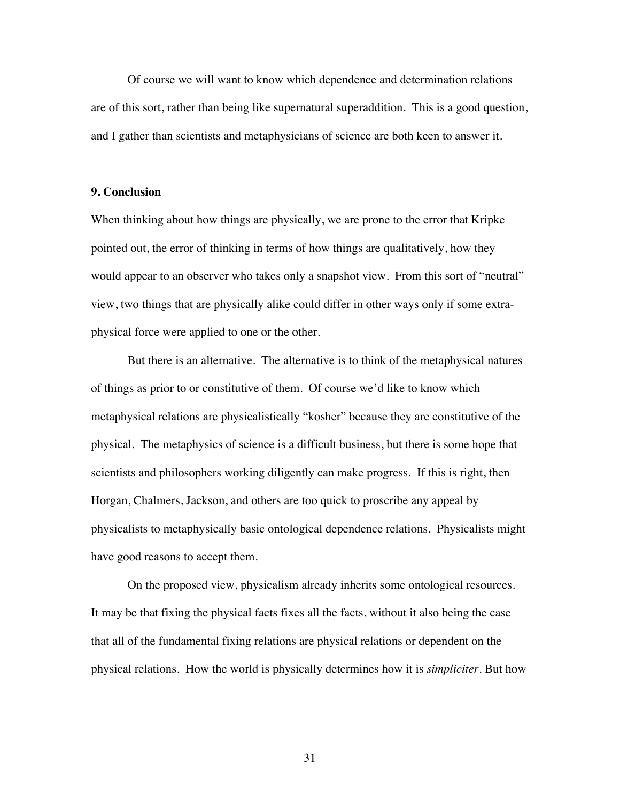Of course we will want to know which dependence and determination relations are of this sort, rather than being like supernatural superaddition. This is a good question, and I gather than scientists and metaphysicians of science are both keen to answer it.

#### **9. Conclusion**

When thinking about how things are physically, we are prone to the error that Kripke pointed out, the error of thinking in terms of how things are qualitatively, how they would appear to an observer who takes only a snapshot view. From this sort of "neutral" view, two things that are physically alike could differ in other ways only if some extraphysical force were applied to one or the other.

But there is an alternative. The alternative is to think of the metaphysical natures of things as prior to or constitutive of them. Of course we'd like to know which metaphysical relations are physicalistically "kosher" because they are constitutive of the physical. The metaphysics of science is a difficult business, but there is some hope that scientists and philosophers working diligently can make progress. If this is right, then Horgan, Chalmers, Jackson, and others are too quick to proscribe any appeal by physicalists to metaphysically basic ontological dependence relations. Physicalists might have good reasons to accept them.

On the proposed view, physicalism already inherits some ontological resources. It may be that fixing the physical facts fixes all the facts, without it also being the case that all of the fundamental fixing relations are physical relations or dependent on the physical relations. How the world is physically determines how it is *simpliciter*. But how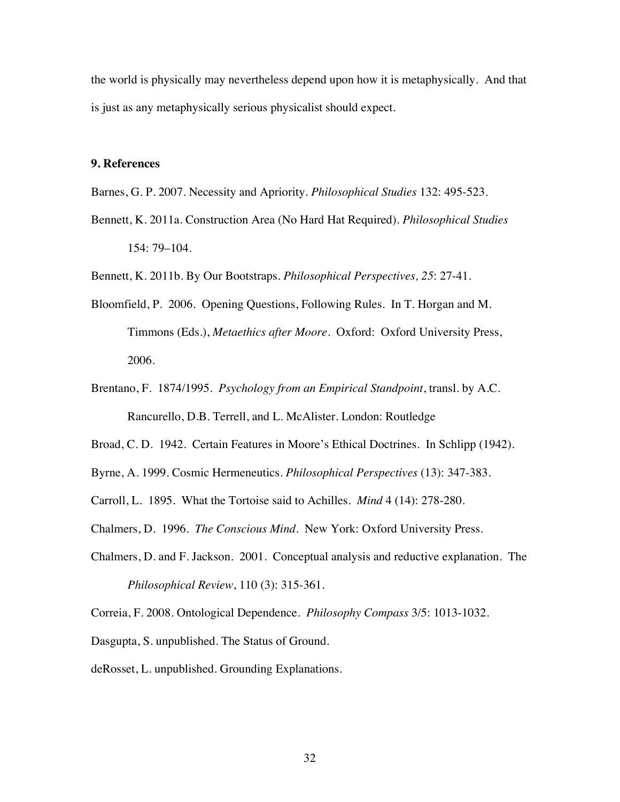the world is physically may nevertheless depend upon how it is metaphysically. And that is just as any metaphysically serious physicalist should expect.

### **9. References**

Barnes, G. P. 2007. Necessity and Apriority. *Philosophical Studies* 132: 495-523.

- Bennett, K. 2011a. Construction Area (No Hard Hat Required). *Philosophical Studies* 154: 79–104.
- Bennett, K. 2011b. By Our Bootstraps. *Philosophical Perspectives, 25*: 27-41.
- Bloomfield, P. 2006. Opening Questions, Following Rules. In T. Horgan and M. Timmons (Eds.), *Metaethics after Moore*. Oxford: Oxford University Press, 2006.
- Brentano, F. 1874/1995. *Psychology from an Empirical Standpoint*, transl. by A.C. Rancurello, D.B. Terrell, and L. McAlister. London: Routledge
- Broad, C. D. 1942. Certain Features in Moore's Ethical Doctrines. In Schlipp (1942).
- Byrne, A. 1999. Cosmic Hermeneutics. *Philosophical Perspectives* (13): 347-383.
- Carroll, L. 1895. What the Tortoise said to Achilles. *Mind* 4 (14): 278-280.
- Chalmers, D. 1996. *The Conscious Mind*. New York: Oxford University Press.
- Chalmers, D. and F. Jackson. 2001. Conceptual analysis and reductive explanation. The *Philosophical Review*, 110 (3): 315-361.

Correia, F. 2008. Ontological Dependence. *Philosophy Compass* 3/5: 1013-1032.

- Dasgupta, S. unpublished. The Status of Ground.
- deRosset, L. unpublished. Grounding Explanations.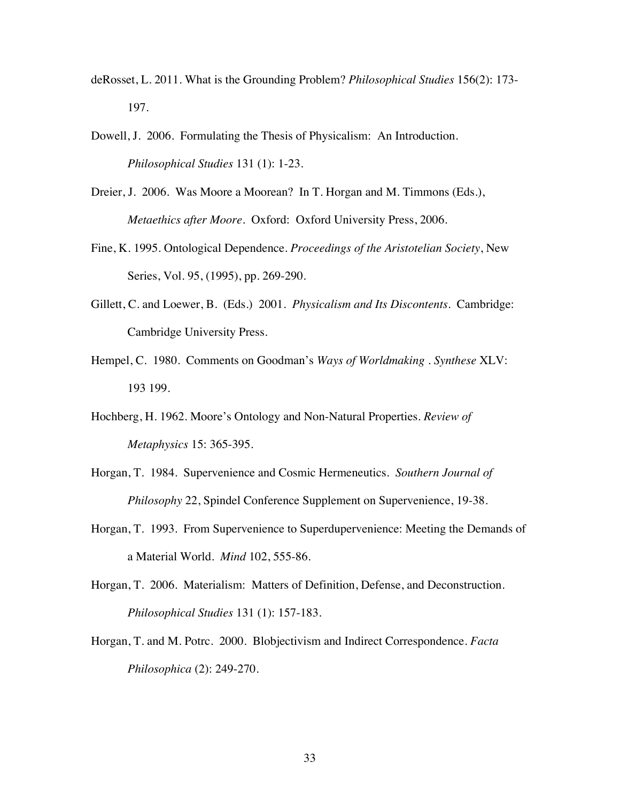- deRosset, L. 2011. What is the Grounding Problem? *Philosophical Studies* 156(2): 173- 197.
- Dowell, J. 2006. Formulating the Thesis of Physicalism: An Introduction. *Philosophical Studies* 131 (1): 1-23.
- Dreier, J. 2006. Was Moore a Moorean? In T. Horgan and M. Timmons (Eds.), *Metaethics after Moore*. Oxford: Oxford University Press, 2006.
- Fine, K. 1995. Ontological Dependence. *Proceedings of the Aristotelian Society*, New Series, Vol. 95, (1995), pp. 269-290.
- Gillett, C. and Loewer, B. (Eds.) 2001. *Physicalism and Its Discontents*. Cambridge: Cambridge University Press.
- Hempel, C. 1980. Comments on Goodman's *Ways of Worldmaking* . *Synthese* XLV: 193 199.
- Hochberg, H. 1962. Moore's Ontology and Non-Natural Properties. *Review of Metaphysics* 15: 365-395.
- Horgan, T. 1984. Supervenience and Cosmic Hermeneutics. *Southern Journal of Philosophy* 22, Spindel Conference Supplement on Supervenience, 19-38.
- Horgan, T. 1993. From Supervenience to Superdupervenience: Meeting the Demands of a Material World. *Mind* 102, 555-86.
- Horgan, T. 2006. Materialism: Matters of Definition, Defense, and Deconstruction. *Philosophical Studies* 131 (1): 157-183.
- Horgan, T. and M. Potrc. 2000. Blobjectivism and Indirect Correspondence. *Facta Philosophica* (2): 249-270.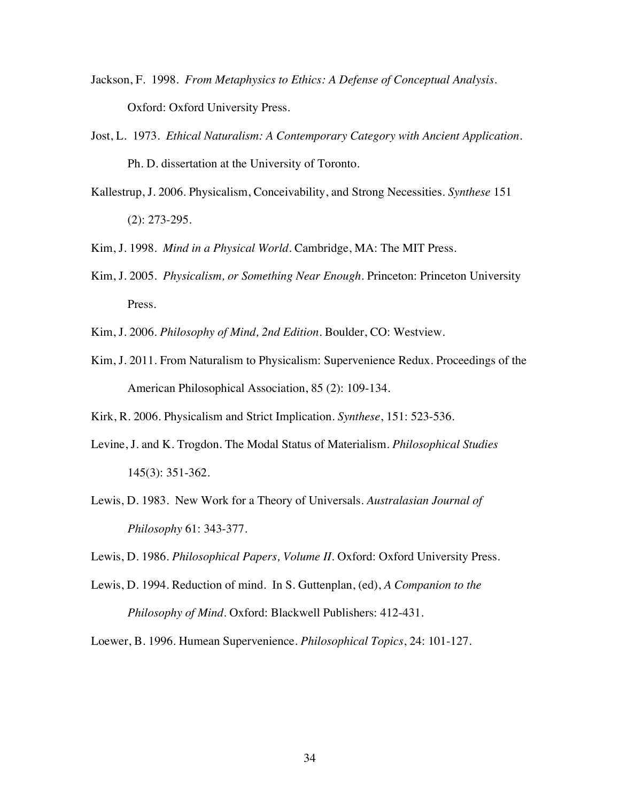- Jackson, F. 1998. *From Metaphysics to Ethics: A Defense of Conceptual Analysis*. Oxford: Oxford University Press.
- Jost, L. 1973. *Ethical Naturalism: A Contemporary Category with Ancient Application*. Ph. D. dissertation at the University of Toronto.
- Kallestrup, J. 2006. Physicalism, Conceivability, and Strong Necessities. *Synthese* 151 (2): 273-295.
- Kim, J. 1998. *Mind in a Physical World*. Cambridge, MA: The MIT Press.
- Kim, J. 2005. *Physicalism, or Something Near Enough*. Princeton: Princeton University Press.
- Kim, J. 2006. *Philosophy of Mind, 2nd Edition*. Boulder, CO: Westview.
- Kim, J. 2011. From Naturalism to Physicalism: Supervenience Redux. Proceedings of the American Philosophical Association, 85 (2): 109-134.

Kirk, R. 2006. Physicalism and Strict Implication. *Synthese*, 151: 523-536.

- Levine, J. and K. Trogdon. The Modal Status of Materialism. *Philosophical Studies* 145(3): 351-362.
- Lewis, D. 1983. New Work for a Theory of Universals. *Australasian Journal of Philosophy* 61: 343-377.

Lewis, D. 1986. *Philosophical Papers, Volume II*. Oxford: Oxford University Press.

Lewis, D. 1994. Reduction of mind. In S. Guttenplan, (ed), *A Companion to the Philosophy of Mind*. Oxford: Blackwell Publishers: 412-431.

Loewer, B. 1996. Humean Supervenience. *Philosophical Topics*, 24: 101-127.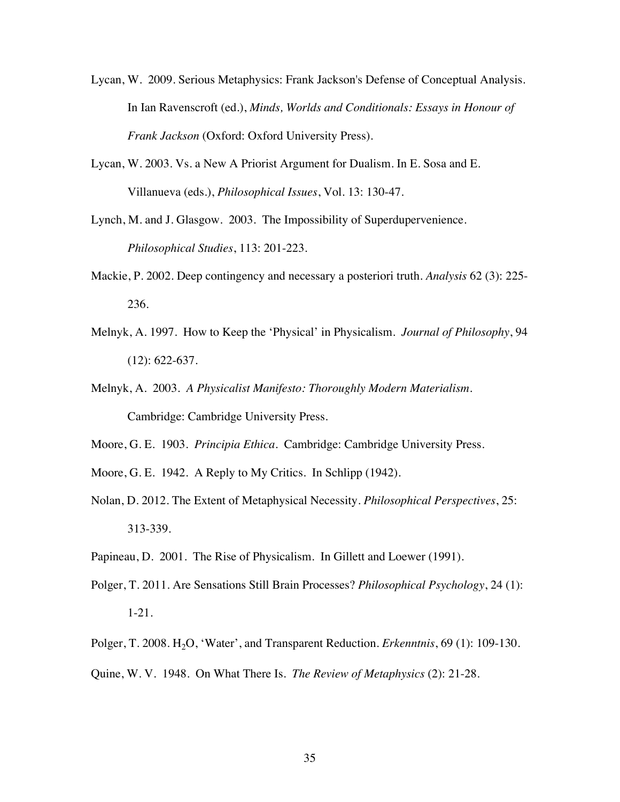- Lycan, W. 2009. Serious Metaphysics: Frank Jackson's Defense of Conceptual Analysis. In Ian Ravenscroft (ed.), *Minds, Worlds and Conditionals: Essays in Honour of Frank Jackson* (Oxford: Oxford University Press).
- Lycan, W. 2003. Vs. a New A Priorist Argument for Dualism. In E. Sosa and E. Villanueva (eds.), *Philosophical Issues*, Vol. 13: 130-47.
- Lynch, M. and J. Glasgow. 2003. The Impossibility of Superdupervenience. *Philosophical Studies*, 113: 201-223.
- Mackie, P. 2002. Deep contingency and necessary a posteriori truth. *Analysis* 62 (3): 225- 236.
- Melnyk, A. 1997. How to Keep the 'Physical' in Physicalism. *Journal of Philosophy*, 94 (12): 622-637.
- Melnyk, A. 2003. *A Physicalist Manifesto: Thoroughly Modern Materialism*. Cambridge: Cambridge University Press.
- Moore, G. E. 1903. *Principia Ethica.* Cambridge: Cambridge University Press.
- Moore, G. E. 1942. A Reply to My Critics. In Schlipp (1942).
- Nolan, D. 2012. The Extent of Metaphysical Necessity. *Philosophical Perspectives*, 25: 313-339.
- Papineau, D. 2001. The Rise of Physicalism. In Gillett and Loewer (1991).
- Polger, T. 2011. Are Sensations Still Brain Processes? *Philosophical Psychology*, 24 (1): 1-21.
- Polger, T. 2008. H<sub>2</sub>O, 'Water', and Transparent Reduction. *Erkenntnis*, 69 (1): 109-130.

Quine, W. V. 1948. On What There Is. *The Review of Metaphysics* (2): 21-28.